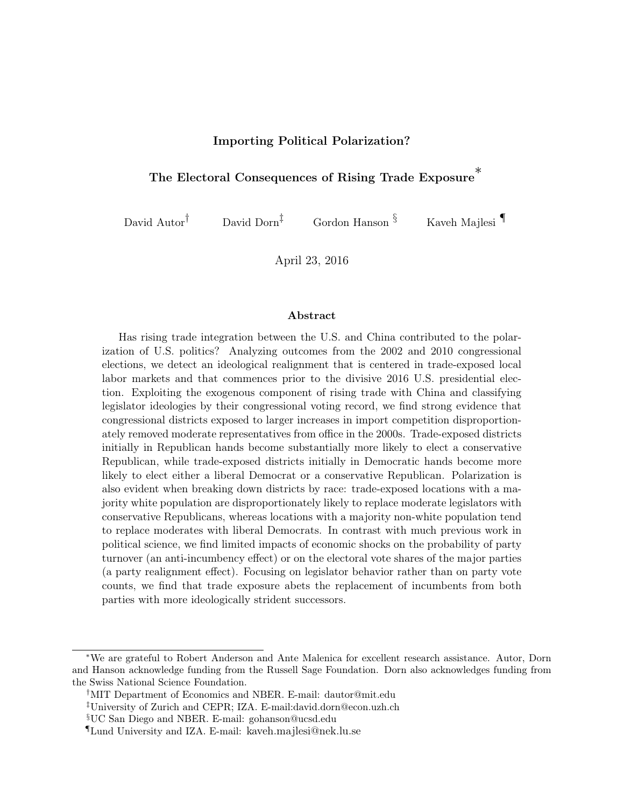#### Importing Political Polarization?

## The Electoral Consequences of Rising Trade Exposure<sup>\*</sup>

David Autor<sup>†</sup> David Dorn<sup>‡</sup> Gordon Hanson  $\S$  Kaveh Majlesi

April 23, 2016

#### Abstract

Has rising trade integration between the U.S. and China contributed to the polarization of U.S. politics? Analyzing outcomes from the 2002 and 2010 congressional elections, we detect an ideological realignment that is centered in trade-exposed local labor markets and that commences prior to the divisive 2016 U.S. presidential election. Exploiting the exogenous component of rising trade with China and classifying legislator ideologies by their congressional voting record, we find strong evidence that congressional districts exposed to larger increases in import competition disproportionately removed moderate representatives from office in the 2000s. Trade-exposed districts initially in Republican hands become substantially more likely to elect a conservative Republican, while trade-exposed districts initially in Democratic hands become more likely to elect either a liberal Democrat or a conservative Republican. Polarization is also evident when breaking down districts by race: trade-exposed locations with a majority white population are disproportionately likely to replace moderate legislators with conservative Republicans, whereas locations with a majority non-white population tend to replace moderates with liberal Democrats. In contrast with much previous work in political science, we find limited impacts of economic shocks on the probability of party turnover (an anti-incumbency effect) or on the electoral vote shares of the major parties (a party realignment effect). Focusing on legislator behavior rather than on party vote counts, we find that trade exposure abets the replacement of incumbents from both parties with more ideologically strident successors.

<sup>∗</sup>We are grateful to Robert Anderson and Ante Malenica for excellent research assistance. Autor, Dorn and Hanson acknowledge funding from the Russell Sage Foundation. Dorn also acknowledges funding from the Swiss National Science Foundation.

<sup>†</sup>MIT Department of Economics and NBER. E-mail: dautor@mit.edu

<sup>‡</sup>University of Zurich and CEPR; IZA. E-mail:david.dorn@econ.uzh.ch

<sup>§</sup>UC San Diego and NBER. E-mail: gohanson@ucsd.edu

<sup>¶</sup>Lund University and IZA. E-mail: kaveh.majlesi@nek.lu.se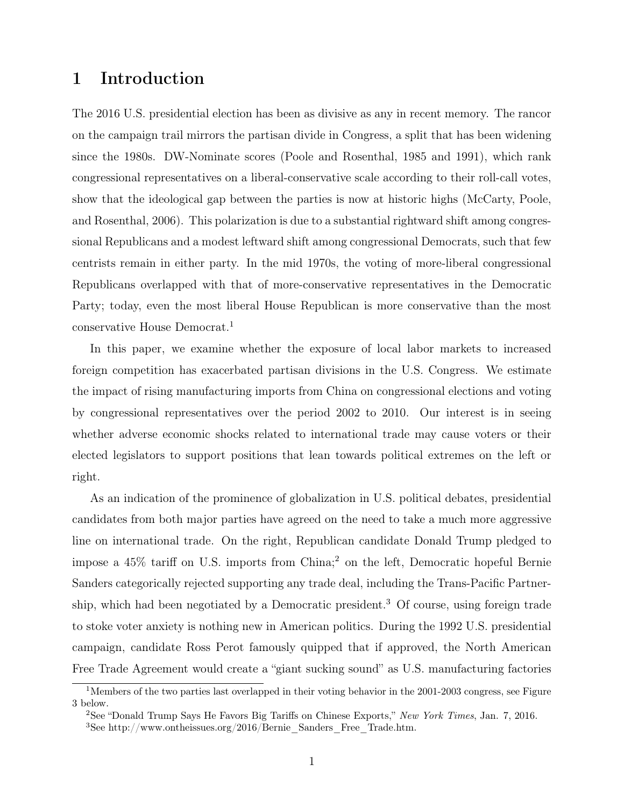### 1 Introduction

The 2016 U.S. presidential election has been as divisive as any in recent memory. The rancor on the campaign trail mirrors the partisan divide in Congress, a split that has been widening since the 1980s. DW-Nominate scores (Poole and Rosenthal, 1985 and 1991), which rank congressional representatives on a liberal-conservative scale according to their roll-call votes, show that the ideological gap between the parties is now at historic highs (McCarty, Poole, and Rosenthal, 2006). This polarization is due to a substantial rightward shift among congressional Republicans and a modest leftward shift among congressional Democrats, such that few centrists remain in either party. In the mid 1970s, the voting of more-liberal congressional Republicans overlapped with that of more-conservative representatives in the Democratic Party; today, even the most liberal House Republican is more conservative than the most conservative House Democrat.<sup>1</sup>

In this paper, we examine whether the exposure of local labor markets to increased foreign competition has exacerbated partisan divisions in the U.S. Congress. We estimate the impact of rising manufacturing imports from China on congressional elections and voting by congressional representatives over the period 2002 to 2010. Our interest is in seeing whether adverse economic shocks related to international trade may cause voters or their elected legislators to support positions that lean towards political extremes on the left or right.

As an indication of the prominence of globalization in U.S. political debates, presidential candidates from both major parties have agreed on the need to take a much more aggressive line on international trade. On the right, Republican candidate Donald Trump pledged to impose a 45% tariff on U.S. imports from China;<sup>2</sup> on the left, Democratic hopeful Bernie Sanders categorically rejected supporting any trade deal, including the Trans-Pacific Partnership, which had been negotiated by a Democratic president.<sup>3</sup> Of course, using foreign trade to stoke voter anxiety is nothing new in American politics. During the 1992 U.S. presidential campaign, candidate Ross Perot famously quipped that if approved, the North American Free Trade Agreement would create a "giant sucking sound" as U.S. manufacturing factories

<sup>&</sup>lt;sup>1</sup>Members of the two parties last overlapped in their voting behavior in the 2001-2003 congress, see Figure 3 below.

<sup>&</sup>lt;sup>2</sup>See "Donald Trump Says He Favors Big Tariffs on Chinese Exports," New York Times, Jan. 7, 2016.

<sup>&</sup>lt;sup>3</sup>See http://www.ontheissues.org/2016/Bernie\_Sanders\_Free\_Trade.htm.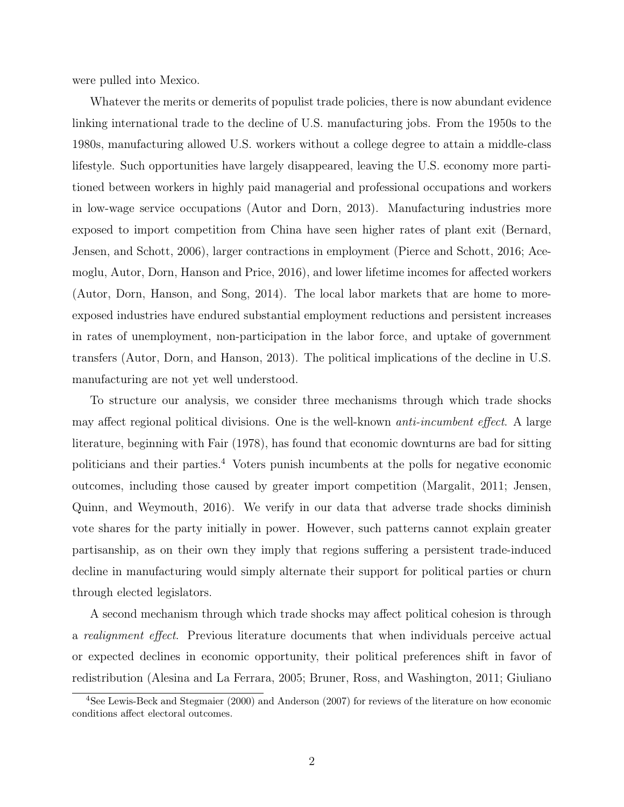were pulled into Mexico.

Whatever the merits or demerits of populist trade policies, there is now abundant evidence linking international trade to the decline of U.S. manufacturing jobs. From the 1950s to the 1980s, manufacturing allowed U.S. workers without a college degree to attain a middle-class lifestyle. Such opportunities have largely disappeared, leaving the U.S. economy more partitioned between workers in highly paid managerial and professional occupations and workers in low-wage service occupations (Autor and Dorn, 2013). Manufacturing industries more exposed to import competition from China have seen higher rates of plant exit (Bernard, Jensen, and Schott, 2006), larger contractions in employment (Pierce and Schott, 2016; Acemoglu, Autor, Dorn, Hanson and Price, 2016), and lower lifetime incomes for affected workers (Autor, Dorn, Hanson, and Song, 2014). The local labor markets that are home to moreexposed industries have endured substantial employment reductions and persistent increases in rates of unemployment, non-participation in the labor force, and uptake of government transfers (Autor, Dorn, and Hanson, 2013). The political implications of the decline in U.S. manufacturing are not yet well understood.

To structure our analysis, we consider three mechanisms through which trade shocks may affect regional political divisions. One is the well-known anti-incumbent effect. A large literature, beginning with Fair (1978), has found that economic downturns are bad for sitting politicians and their parties.<sup>4</sup> Voters punish incumbents at the polls for negative economic outcomes, including those caused by greater import competition (Margalit, 2011; Jensen, Quinn, and Weymouth, 2016). We verify in our data that adverse trade shocks diminish vote shares for the party initially in power. However, such patterns cannot explain greater partisanship, as on their own they imply that regions suffering a persistent trade-induced decline in manufacturing would simply alternate their support for political parties or churn through elected legislators.

A second mechanism through which trade shocks may affect political cohesion is through a realignment effect. Previous literature documents that when individuals perceive actual or expected declines in economic opportunity, their political preferences shift in favor of redistribution (Alesina and La Ferrara, 2005; Bruner, Ross, and Washington, 2011; Giuliano

<sup>4</sup>See Lewis-Beck and Stegmaier (2000) and Anderson (2007) for reviews of the literature on how economic conditions affect electoral outcomes.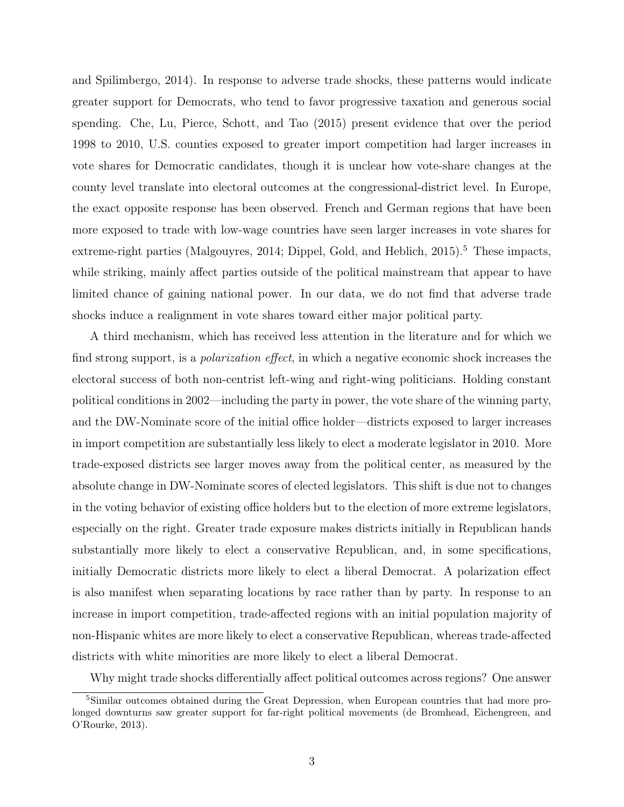and Spilimbergo, 2014). In response to adverse trade shocks, these patterns would indicate greater support for Democrats, who tend to favor progressive taxation and generous social spending. Che, Lu, Pierce, Schott, and Tao (2015) present evidence that over the period 1998 to 2010, U.S. counties exposed to greater import competition had larger increases in vote shares for Democratic candidates, though it is unclear how vote-share changes at the county level translate into electoral outcomes at the congressional-district level. In Europe, the exact opposite response has been observed. French and German regions that have been more exposed to trade with low-wage countries have seen larger increases in vote shares for extreme-right parties (Malgouyres, 2014; Dippel, Gold, and Heblich,  $2015$ ).<sup>5</sup> These impacts, while striking, mainly affect parties outside of the political mainstream that appear to have limited chance of gaining national power. In our data, we do not find that adverse trade shocks induce a realignment in vote shares toward either major political party.

A third mechanism, which has received less attention in the literature and for which we find strong support, is a *polarization effect*, in which a negative economic shock increases the electoral success of both non-centrist left-wing and right-wing politicians. Holding constant political conditions in 2002—including the party in power, the vote share of the winning party, and the DW-Nominate score of the initial office holder—districts exposed to larger increases in import competition are substantially less likely to elect a moderate legislator in 2010. More trade-exposed districts see larger moves away from the political center, as measured by the absolute change in DW-Nominate scores of elected legislators. This shift is due not to changes in the voting behavior of existing office holders but to the election of more extreme legislators, especially on the right. Greater trade exposure makes districts initially in Republican hands substantially more likely to elect a conservative Republican, and, in some specifications, initially Democratic districts more likely to elect a liberal Democrat. A polarization effect is also manifest when separating locations by race rather than by party. In response to an increase in import competition, trade-affected regions with an initial population majority of non-Hispanic whites are more likely to elect a conservative Republican, whereas trade-affected districts with white minorities are more likely to elect a liberal Democrat.

Why might trade shocks differentially affect political outcomes across regions? One answer

<sup>&</sup>lt;sup>5</sup>Similar outcomes obtained during the Great Depression, when European countries that had more prolonged downturns saw greater support for far-right political movements (de Bromhead, Eichengreen, and O'Rourke, 2013).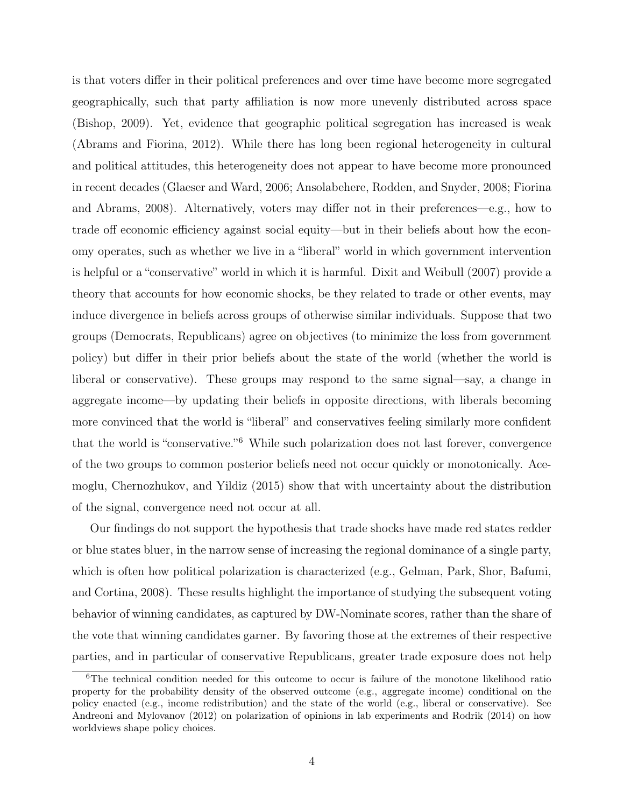is that voters differ in their political preferences and over time have become more segregated geographically, such that party affiliation is now more unevenly distributed across space (Bishop, 2009). Yet, evidence that geographic political segregation has increased is weak (Abrams and Fiorina, 2012). While there has long been regional heterogeneity in cultural and political attitudes, this heterogeneity does not appear to have become more pronounced in recent decades (Glaeser and Ward, 2006; Ansolabehere, Rodden, and Snyder, 2008; Fiorina and Abrams, 2008). Alternatively, voters may differ not in their preferences—e.g., how to trade off economic efficiency against social equity—but in their beliefs about how the economy operates, such as whether we live in a "liberal" world in which government intervention is helpful or a "conservative" world in which it is harmful. Dixit and Weibull (2007) provide a theory that accounts for how economic shocks, be they related to trade or other events, may induce divergence in beliefs across groups of otherwise similar individuals. Suppose that two groups (Democrats, Republicans) agree on objectives (to minimize the loss from government policy) but differ in their prior beliefs about the state of the world (whether the world is liberal or conservative). These groups may respond to the same signal—say, a change in aggregate income—by updating their beliefs in opposite directions, with liberals becoming more convinced that the world is "liberal" and conservatives feeling similarly more confident that the world is "conservative."<sup>6</sup> While such polarization does not last forever, convergence of the two groups to common posterior beliefs need not occur quickly or monotonically. Acemoglu, Chernozhukov, and Yildiz (2015) show that with uncertainty about the distribution of the signal, convergence need not occur at all.

Our findings do not support the hypothesis that trade shocks have made red states redder or blue states bluer, in the narrow sense of increasing the regional dominance of a single party, which is often how political polarization is characterized (e.g., Gelman, Park, Shor, Bafumi, and Cortina, 2008). These results highlight the importance of studying the subsequent voting behavior of winning candidates, as captured by DW-Nominate scores, rather than the share of the vote that winning candidates garner. By favoring those at the extremes of their respective parties, and in particular of conservative Republicans, greater trade exposure does not help

<sup>&</sup>lt;sup>6</sup>The technical condition needed for this outcome to occur is failure of the monotone likelihood ratio property for the probability density of the observed outcome (e.g., aggregate income) conditional on the policy enacted (e.g., income redistribution) and the state of the world (e.g., liberal or conservative). See Andreoni and Mylovanov (2012) on polarization of opinions in lab experiments and Rodrik (2014) on how worldviews shape policy choices.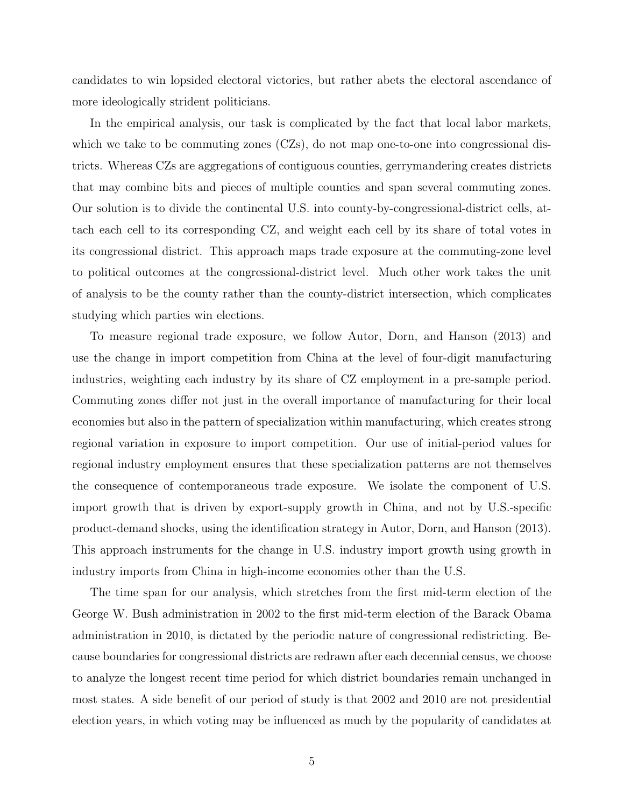candidates to win lopsided electoral victories, but rather abets the electoral ascendance of more ideologically strident politicians.

In the empirical analysis, our task is complicated by the fact that local labor markets, which we take to be commuting zones (CZs), do not map one-to-one into congressional districts. Whereas CZs are aggregations of contiguous counties, gerrymandering creates districts that may combine bits and pieces of multiple counties and span several commuting zones. Our solution is to divide the continental U.S. into county-by-congressional-district cells, attach each cell to its corresponding CZ, and weight each cell by its share of total votes in its congressional district. This approach maps trade exposure at the commuting-zone level to political outcomes at the congressional-district level. Much other work takes the unit of analysis to be the county rather than the county-district intersection, which complicates studying which parties win elections.

To measure regional trade exposure, we follow Autor, Dorn, and Hanson (2013) and use the change in import competition from China at the level of four-digit manufacturing industries, weighting each industry by its share of CZ employment in a pre-sample period. Commuting zones differ not just in the overall importance of manufacturing for their local economies but also in the pattern of specialization within manufacturing, which creates strong regional variation in exposure to import competition. Our use of initial-period values for regional industry employment ensures that these specialization patterns are not themselves the consequence of contemporaneous trade exposure. We isolate the component of U.S. import growth that is driven by export-supply growth in China, and not by U.S.-specific product-demand shocks, using the identification strategy in Autor, Dorn, and Hanson (2013). This approach instruments for the change in U.S. industry import growth using growth in industry imports from China in high-income economies other than the U.S.

The time span for our analysis, which stretches from the first mid-term election of the George W. Bush administration in 2002 to the first mid-term election of the Barack Obama administration in 2010, is dictated by the periodic nature of congressional redistricting. Because boundaries for congressional districts are redrawn after each decennial census, we choose to analyze the longest recent time period for which district boundaries remain unchanged in most states. A side benefit of our period of study is that 2002 and 2010 are not presidential election years, in which voting may be influenced as much by the popularity of candidates at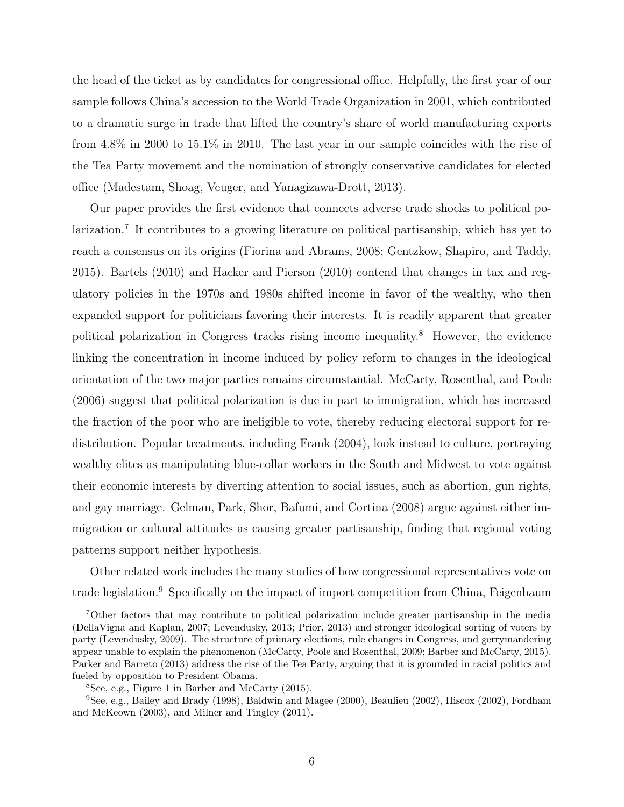the head of the ticket as by candidates for congressional office. Helpfully, the first year of our sample follows China's accession to the World Trade Organization in 2001, which contributed to a dramatic surge in trade that lifted the country's share of world manufacturing exports from 4.8% in 2000 to 15.1% in 2010. The last year in our sample coincides with the rise of the Tea Party movement and the nomination of strongly conservative candidates for elected office (Madestam, Shoag, Veuger, and Yanagizawa-Drott, 2013).

Our paper provides the first evidence that connects adverse trade shocks to political polarization.<sup>7</sup> It contributes to a growing literature on political partisanship, which has yet to reach a consensus on its origins (Fiorina and Abrams, 2008; Gentzkow, Shapiro, and Taddy, 2015). Bartels (2010) and Hacker and Pierson (2010) contend that changes in tax and regulatory policies in the 1970s and 1980s shifted income in favor of the wealthy, who then expanded support for politicians favoring their interests. It is readily apparent that greater political polarization in Congress tracks rising income inequality.<sup>8</sup> However, the evidence linking the concentration in income induced by policy reform to changes in the ideological orientation of the two major parties remains circumstantial. McCarty, Rosenthal, and Poole (2006) suggest that political polarization is due in part to immigration, which has increased the fraction of the poor who are ineligible to vote, thereby reducing electoral support for redistribution. Popular treatments, including Frank (2004), look instead to culture, portraying wealthy elites as manipulating blue-collar workers in the South and Midwest to vote against their economic interests by diverting attention to social issues, such as abortion, gun rights, and gay marriage. Gelman, Park, Shor, Bafumi, and Cortina (2008) argue against either immigration or cultural attitudes as causing greater partisanship, finding that regional voting patterns support neither hypothesis.

Other related work includes the many studies of how congressional representatives vote on trade legislation.<sup>9</sup> Specifically on the impact of import competition from China, Feigenbaum

<sup>7</sup>Other factors that may contribute to political polarization include greater partisanship in the media (DellaVigna and Kaplan, 2007; Levendusky, 2013; Prior, 2013) and stronger ideological sorting of voters by party (Levendusky, 2009). The structure of primary elections, rule changes in Congress, and gerrymandering appear unable to explain the phenomenon (McCarty, Poole and Rosenthal, 2009; Barber and McCarty, 2015). Parker and Barreto (2013) address the rise of the Tea Party, arguing that it is grounded in racial politics and fueled by opposition to President Obama.

<sup>8</sup>See, e.g., Figure 1 in Barber and McCarty (2015).

<sup>9</sup>See, e.g., Bailey and Brady (1998), Baldwin and Magee (2000), Beaulieu (2002), Hiscox (2002), Fordham and McKeown (2003), and Milner and Tingley (2011).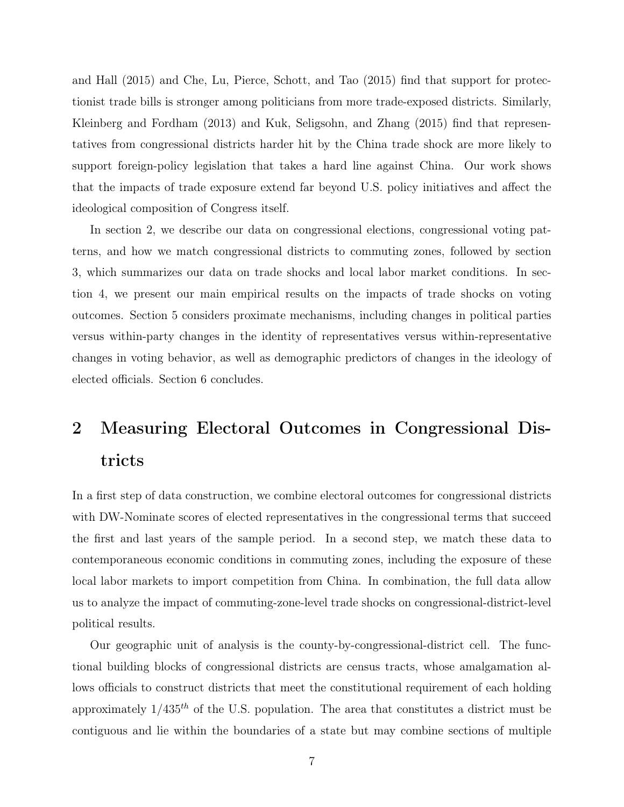and Hall (2015) and Che, Lu, Pierce, Schott, and Tao (2015) find that support for protectionist trade bills is stronger among politicians from more trade-exposed districts. Similarly, Kleinberg and Fordham (2013) and Kuk, Seligsohn, and Zhang (2015) find that representatives from congressional districts harder hit by the China trade shock are more likely to support foreign-policy legislation that takes a hard line against China. Our work shows that the impacts of trade exposure extend far beyond U.S. policy initiatives and affect the ideological composition of Congress itself.

In section 2, we describe our data on congressional elections, congressional voting patterns, and how we match congressional districts to commuting zones, followed by section 3, which summarizes our data on trade shocks and local labor market conditions. In section 4, we present our main empirical results on the impacts of trade shocks on voting outcomes. Section 5 considers proximate mechanisms, including changes in political parties versus within-party changes in the identity of representatives versus within-representative changes in voting behavior, as well as demographic predictors of changes in the ideology of elected officials. Section 6 concludes.

# 2 Measuring Electoral Outcomes in Congressional Districts

In a first step of data construction, we combine electoral outcomes for congressional districts with DW-Nominate scores of elected representatives in the congressional terms that succeed the first and last years of the sample period. In a second step, we match these data to contemporaneous economic conditions in commuting zones, including the exposure of these local labor markets to import competition from China. In combination, the full data allow us to analyze the impact of commuting-zone-level trade shocks on congressional-district-level political results.

Our geographic unit of analysis is the county-by-congressional-district cell. The functional building blocks of congressional districts are census tracts, whose amalgamation allows officials to construct districts that meet the constitutional requirement of each holding approximately  $1/435<sup>th</sup>$  of the U.S. population. The area that constitutes a district must be contiguous and lie within the boundaries of a state but may combine sections of multiple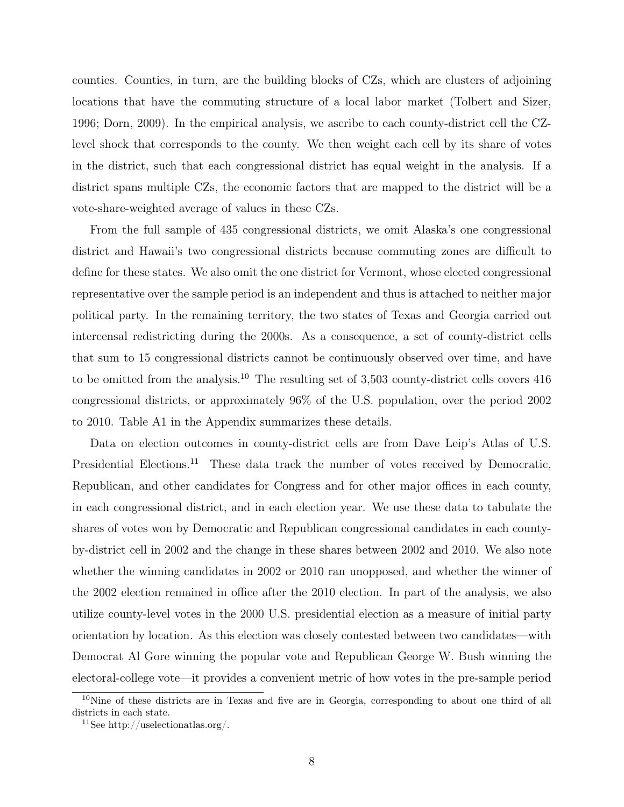counties. Counties, in turn, are the building blocks of CZs, which are clusters of adjoining locations that have the commuting structure of a local labor market (Tolbert and Sizer, 1996; Dorn, 2009). In the empirical analysis, we ascribe to each county-district cell the CZlevel shock that corresponds to the county. We then weight each cell by its share of votes in the district, such that each congressional district has equal weight in the analysis. If a district spans multiple CZs, the economic factors that are mapped to the district will be a vote-share-weighted average of values in these CZs.

From the full sample of 435 congressional districts, we omit Alaska's one congressional district and Hawaii's two congressional districts because commuting zones are difficult to define for these states. We also omit the one district for Vermont, whose elected congressional representative over the sample period is an independent and thus is attached to neither major political party. In the remaining territory, the two states of Texas and Georgia carried out intercensal redistricting during the 2000s. As a consequence, a set of county-district cells that sum to 15 congressional districts cannot be continuously observed over time, and have to be omitted from the analysis.<sup>10</sup> The resulting set of 3,503 county-district cells covers 416 congressional districts, or approximately 96% of the U.S. population, over the period 2002 to 2010. Table A1 in the Appendix summarizes these details.

Data on election outcomes in county-district cells are from Dave Leip's Atlas of U.S. Presidential Elections.<sup>11</sup> These data track the number of votes received by Democratic, Republican, and other candidates for Congress and for other major offices in each county, in each congressional district, and in each election year. We use these data to tabulate the shares of votes won by Democratic and Republican congressional candidates in each countyby-district cell in 2002 and the change in these shares between 2002 and 2010. We also note whether the winning candidates in 2002 or 2010 ran unopposed, and whether the winner of the 2002 election remained in office after the 2010 election. In part of the analysis, we also utilize county-level votes in the 2000 U.S. presidential election as a measure of initial party orientation by location. As this election was closely contested between two candidates—with Democrat Al Gore winning the popular vote and Republican George W. Bush winning the electoral-college vote—it provides a convenient metric of how votes in the pre-sample period

 $10$ Nine of these districts are in Texas and five are in Georgia, corresponding to about one third of all districts in each state.

<sup>&</sup>lt;sup>11</sup>See http://uselectionatlas.org/.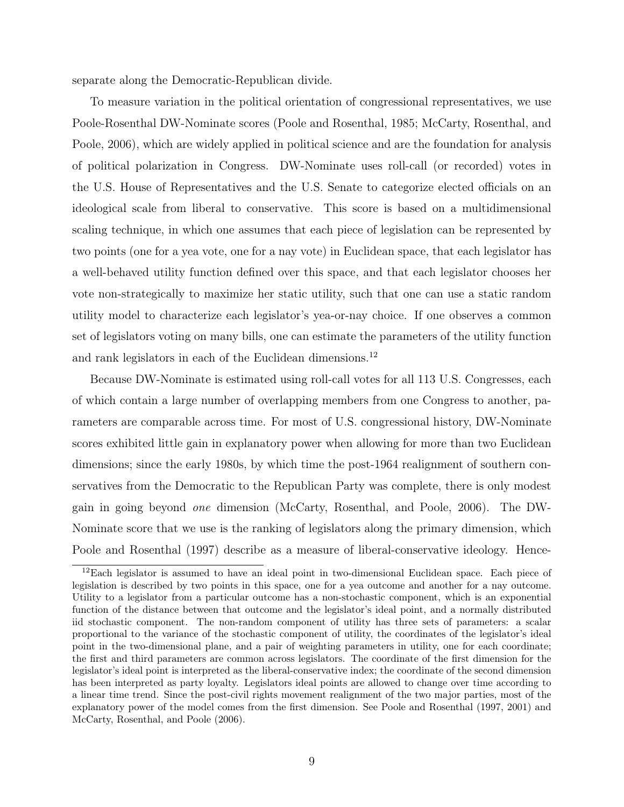separate along the Democratic-Republican divide.

To measure variation in the political orientation of congressional representatives, we use Poole-Rosenthal DW-Nominate scores (Poole and Rosenthal, 1985; McCarty, Rosenthal, and Poole, 2006), which are widely applied in political science and are the foundation for analysis of political polarization in Congress. DW-Nominate uses roll-call (or recorded) votes in the U.S. House of Representatives and the U.S. Senate to categorize elected officials on an ideological scale from liberal to conservative. This score is based on a multidimensional scaling technique, in which one assumes that each piece of legislation can be represented by two points (one for a yea vote, one for a nay vote) in Euclidean space, that each legislator has a well-behaved utility function defined over this space, and that each legislator chooses her vote non-strategically to maximize her static utility, such that one can use a static random utility model to characterize each legislator's yea-or-nay choice. If one observes a common set of legislators voting on many bills, one can estimate the parameters of the utility function and rank legislators in each of the Euclidean dimensions.<sup>12</sup>

Because DW-Nominate is estimated using roll-call votes for all 113 U.S. Congresses, each of which contain a large number of overlapping members from one Congress to another, parameters are comparable across time. For most of U.S. congressional history, DW-Nominate scores exhibited little gain in explanatory power when allowing for more than two Euclidean dimensions; since the early 1980s, by which time the post-1964 realignment of southern conservatives from the Democratic to the Republican Party was complete, there is only modest gain in going beyond one dimension (McCarty, Rosenthal, and Poole, 2006). The DW-Nominate score that we use is the ranking of legislators along the primary dimension, which Poole and Rosenthal (1997) describe as a measure of liberal-conservative ideology. Hence-

<sup>&</sup>lt;sup>12</sup>Each legislator is assumed to have an ideal point in two-dimensional Euclidean space. Each piece of legislation is described by two points in this space, one for a yea outcome and another for a nay outcome. Utility to a legislator from a particular outcome has a non-stochastic component, which is an exponential function of the distance between that outcome and the legislator's ideal point, and a normally distributed iid stochastic component. The non-random component of utility has three sets of parameters: a scalar proportional to the variance of the stochastic component of utility, the coordinates of the legislator's ideal point in the two-dimensional plane, and a pair of weighting parameters in utility, one for each coordinate; the first and third parameters are common across legislators. The coordinate of the first dimension for the legislator's ideal point is interpreted as the liberal-conservative index; the coordinate of the second dimension has been interpreted as party loyalty. Legislators ideal points are allowed to change over time according to a linear time trend. Since the post-civil rights movement realignment of the two major parties, most of the explanatory power of the model comes from the first dimension. See Poole and Rosenthal (1997, 2001) and McCarty, Rosenthal, and Poole (2006).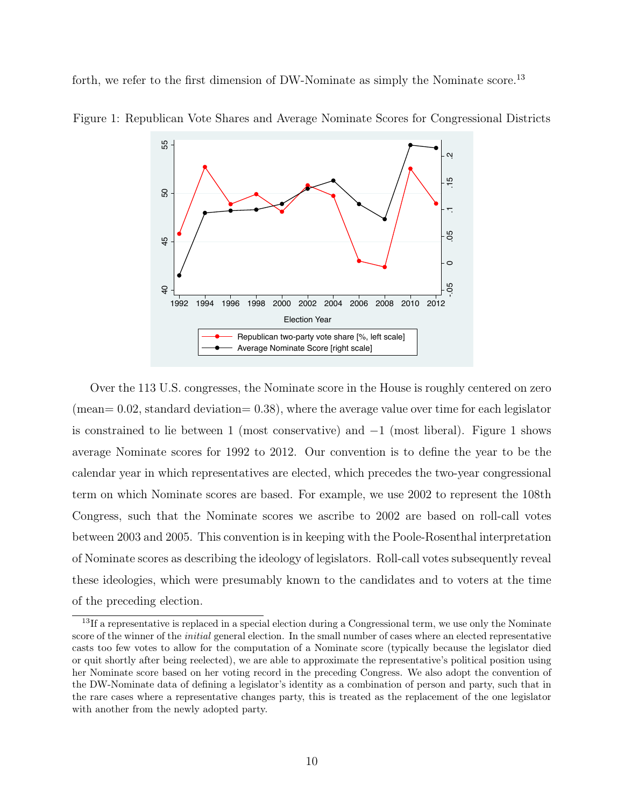forth, we refer to the first dimension of DW-Nominate as simply the Nominate score.<sup>13</sup>



Figure 1: Republican Vote Shares and Average Nominate Scores for Congressional Districts

Over the 113 U.S. congresses, the Nominate score in the House is roughly centered on zero  $(mean= 0.02, standard deviation= 0.38)$ , where the average value over time for each legislator is constrained to lie between 1 (most conservative) and  $-1$  (most liberal). Figure 1 shows average Nominate scores for 1992 to 2012. Our convention is to define the year to be the calendar year in which representatives are elected, which precedes the two-year congressional term on which Nominate scores are based. For example, we use 2002 to represent the 108th Congress, such that the Nominate scores we ascribe to 2002 are based on roll-call votes between 2003 and 2005. This convention is in keeping with the Poole-Rosenthal interpretation of Nominate scores as describing the ideology of legislators. Roll-call votes subsequently reveal these ideologies, which were presumably known to the candidates and to voters at the time of the preceding election.

 $13$ If a representative is replaced in a special election during a Congressional term, we use only the Nominate score of the winner of the *initial* general election. In the small number of cases where an elected representative casts too few votes to allow for the computation of a Nominate score (typically because the legislator died or quit shortly after being reelected), we are able to approximate the representative's political position using her Nominate score based on her voting record in the preceding Congress. We also adopt the convention of the DW-Nominate data of defining a legislator's identity as a combination of person and party, such that in the rare cases where a representative changes party, this is treated as the replacement of the one legislator with another from the newly adopted party.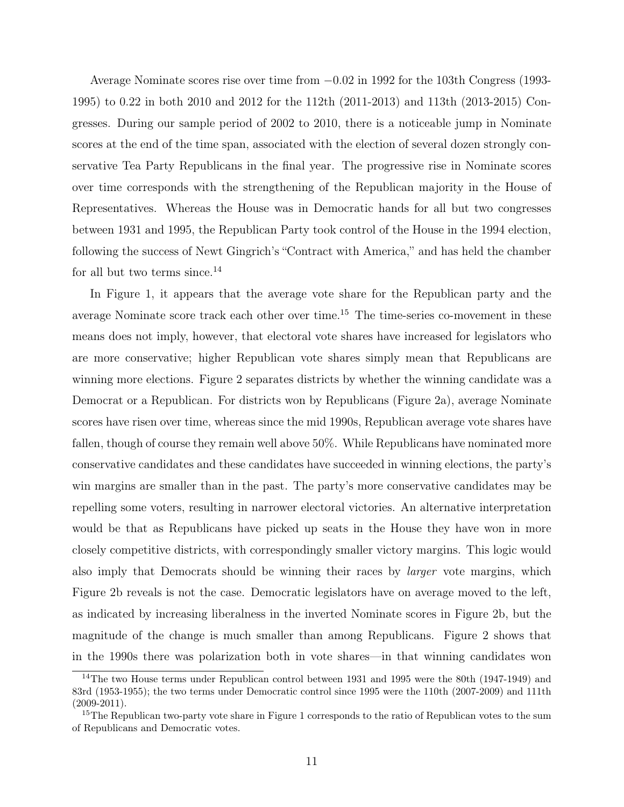Average Nominate scores rise over time from −0.02 in 1992 for the 103th Congress (1993- 1995) to 0.22 in both 2010 and 2012 for the 112th (2011-2013) and 113th (2013-2015) Congresses. During our sample period of 2002 to 2010, there is a noticeable jump in Nominate scores at the end of the time span, associated with the election of several dozen strongly conservative Tea Party Republicans in the final year. The progressive rise in Nominate scores over time corresponds with the strengthening of the Republican majority in the House of Representatives. Whereas the House was in Democratic hands for all but two congresses between 1931 and 1995, the Republican Party took control of the House in the 1994 election, following the success of Newt Gingrich's "Contract with America," and has held the chamber for all but two terms since.<sup>14</sup>

In Figure 1, it appears that the average vote share for the Republican party and the average Nominate score track each other over time.<sup>15</sup> The time-series co-movement in these means does not imply, however, that electoral vote shares have increased for legislators who are more conservative; higher Republican vote shares simply mean that Republicans are winning more elections. Figure 2 separates districts by whether the winning candidate was a Democrat or a Republican. For districts won by Republicans (Figure 2a), average Nominate scores have risen over time, whereas since the mid 1990s, Republican average vote shares have fallen, though of course they remain well above 50%. While Republicans have nominated more conservative candidates and these candidates have succeeded in winning elections, the party's win margins are smaller than in the past. The party's more conservative candidates may be repelling some voters, resulting in narrower electoral victories. An alternative interpretation would be that as Republicans have picked up seats in the House they have won in more closely competitive districts, with correspondingly smaller victory margins. This logic would also imply that Democrats should be winning their races by larger vote margins, which Figure 2b reveals is not the case. Democratic legislators have on average moved to the left, as indicated by increasing liberalness in the inverted Nominate scores in Figure 2b, but the magnitude of the change is much smaller than among Republicans. Figure 2 shows that in the 1990s there was polarization both in vote shares—in that winning candidates won

<sup>&</sup>lt;sup>14</sup>The two House terms under Republican control between 1931 and 1995 were the 80th (1947-1949) and 83rd (1953-1955); the two terms under Democratic control since 1995 were the 110th (2007-2009) and 111th  $(2009 - 2011).$ 

<sup>&</sup>lt;sup>15</sup>The Republican two-party vote share in Figure 1 corresponds to the ratio of Republican votes to the sum of Republicans and Democratic votes.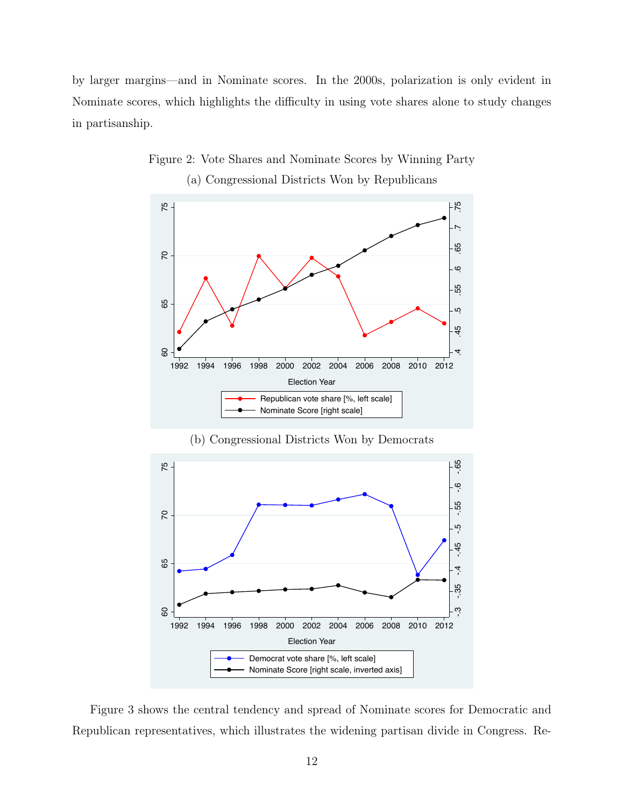by larger margins—and in Nominate scores. In the 2000s, polarization is only evident in Nominate scores, which highlights the difficulty in using vote shares alone to study changes in partisanship.



Figure 2: Vote Shares and Nominate Scores by Winning Party



(b) Congressional Districts Won by Democrats

Republican vote share [%, left scale] Nominate Score [right scale]

Figure 3 shows the central tendency and spread of Nominate scores for Democratic and Republican representatives, which illustrates the widening partisan divide in Congress. Re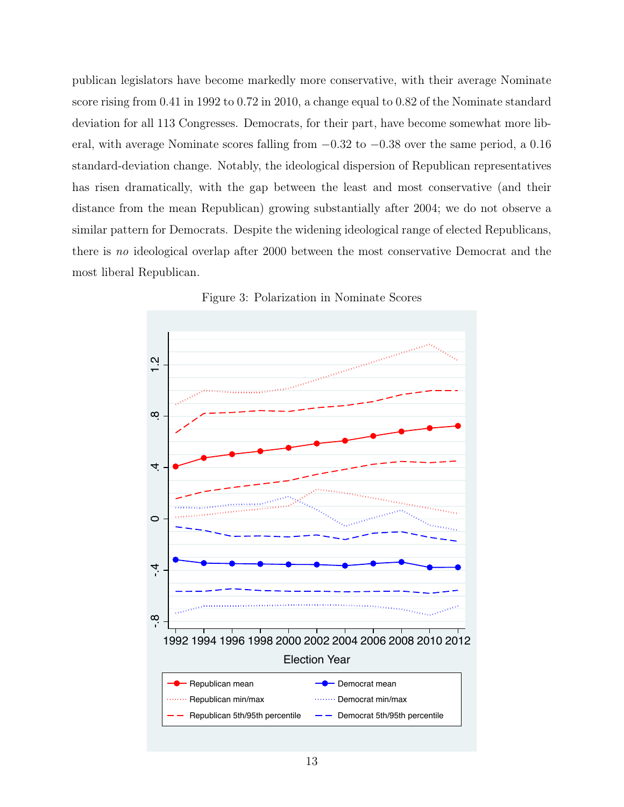publican legislators have become markedly more conservative, with their average Nominate score rising from 0.41 in 1992 to 0.72 in 2010, a change equal to 0.82 of the Nominate standard deviation for all 113 Congresses. Democrats, for their part, have become somewhat more liberal, with average Nominate scores falling from −0.32 to −0.38 over the same period, a 0.16 standard-deviation change. Notably, the ideological dispersion of Republican representatives has risen dramatically, with the gap between the least and most conservative (and their distance from the mean Republican) growing substantially after 2004; we do not observe a similar pattern for Democrats. Despite the widening ideological range of elected Republicans, there is no ideological overlap after 2000 between the most conservative Democrat and the most liberal Republican.



Figure 3: Polarization in Nominate Scores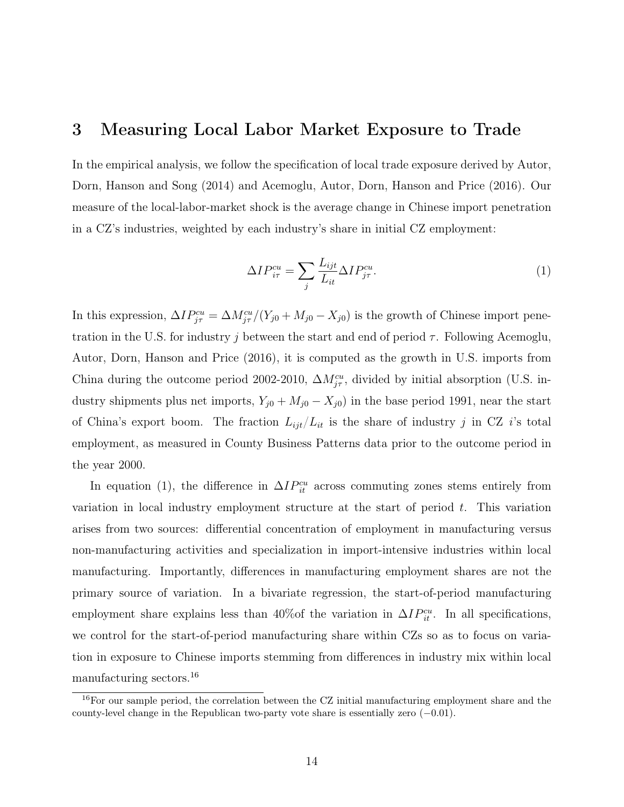### 3 Measuring Local Labor Market Exposure to Trade

In the empirical analysis, we follow the specification of local trade exposure derived by Autor, Dorn, Hanson and Song (2014) and Acemoglu, Autor, Dorn, Hanson and Price (2016). Our measure of the local-labor-market shock is the average change in Chinese import penetration in a CZ's industries, weighted by each industry's share in initial CZ employment:

$$
\Delta IP_{i\tau}^{cu} = \sum_{j} \frac{L_{ijt}}{L_{it}} \Delta IP_{j\tau}^{cu}.\tag{1}
$$

In this expression,  $\Delta IP_{j\tau}^{cu} = \Delta M_{j\tau}^{cu}/(Y_{j0} + M_{j0} - X_{j0})$  is the growth of Chinese import penetration in the U.S. for industry j between the start and end of period  $\tau$ . Following Acemoglu, Autor, Dorn, Hanson and Price (2016), it is computed as the growth in U.S. imports from China during the outcome period 2002-2010,  $\Delta M_{j\tau}^{cu}$ , divided by initial absorption (U.S. industry shipments plus net imports,  $Y_{j0} + M_{j0} - X_{j0}$  in the base period 1991, near the start of China's export boom. The fraction  $L_{ijt}/L_{it}$  is the share of industry j in CZ i's total employment, as measured in County Business Patterns data prior to the outcome period in the year 2000.

In equation (1), the difference in  $\Delta IP_{it}^{cu}$  across commuting zones stems entirely from variation in local industry employment structure at the start of period  $t$ . This variation arises from two sources: differential concentration of employment in manufacturing versus non-manufacturing activities and specialization in import-intensive industries within local manufacturing. Importantly, differences in manufacturing employment shares are not the primary source of variation. In a bivariate regression, the start-of-period manufacturing employment share explains less than 40%of the variation in  $\Delta IP_{it}^{cu}$ . In all specifications, we control for the start-of-period manufacturing share within CZs so as to focus on variation in exposure to Chinese imports stemming from differences in industry mix within local manufacturing sectors.<sup>16</sup>

<sup>&</sup>lt;sup>16</sup>For our sample period, the correlation between the CZ initial manufacturing employment share and the county-level change in the Republican two-party vote share is essentially zero  $(-0.01)$ .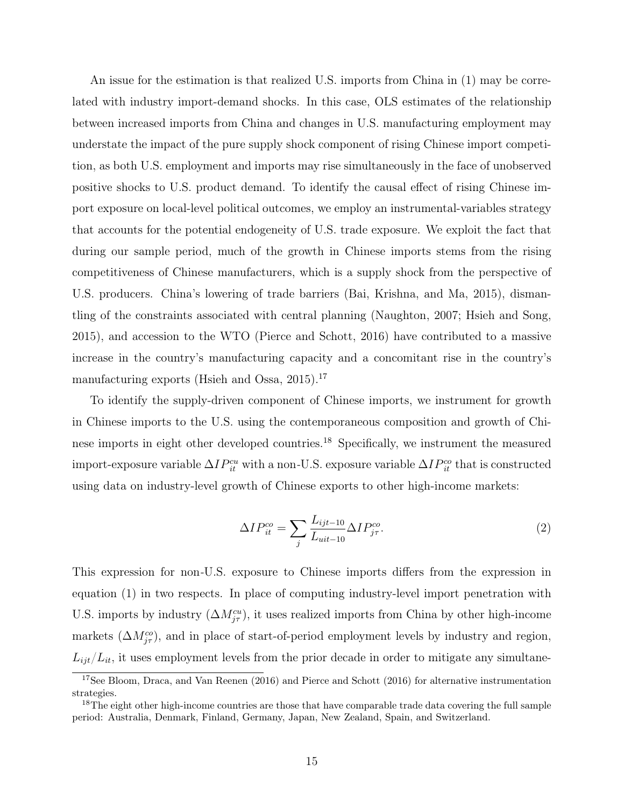An issue for the estimation is that realized U.S. imports from China in (1) may be correlated with industry import-demand shocks. In this case, OLS estimates of the relationship between increased imports from China and changes in U.S. manufacturing employment may understate the impact of the pure supply shock component of rising Chinese import competition, as both U.S. employment and imports may rise simultaneously in the face of unobserved positive shocks to U.S. product demand. To identify the causal effect of rising Chinese import exposure on local-level political outcomes, we employ an instrumental-variables strategy that accounts for the potential endogeneity of U.S. trade exposure. We exploit the fact that during our sample period, much of the growth in Chinese imports stems from the rising competitiveness of Chinese manufacturers, which is a supply shock from the perspective of U.S. producers. China's lowering of trade barriers (Bai, Krishna, and Ma, 2015), dismantling of the constraints associated with central planning (Naughton, 2007; Hsieh and Song, 2015), and accession to the WTO (Pierce and Schott, 2016) have contributed to a massive increase in the country's manufacturing capacity and a concomitant rise in the country's manufacturing exports (Hsieh and Ossa,  $2015$ ).<sup>17</sup>

To identify the supply-driven component of Chinese imports, we instrument for growth in Chinese imports to the U.S. using the contemporaneous composition and growth of Chinese imports in eight other developed countries.<sup>18</sup> Specifically, we instrument the measured import-exposure variable  $\Delta IP_{it}^{cu}$  with a non-U.S. exposure variable  $\Delta IP_{it}^{co}$  that is constructed using data on industry-level growth of Chinese exports to other high-income markets:

$$
\Delta IP_{it}^{co} = \sum_{j} \frac{L_{ijt-10}}{L_{uit-10}} \Delta IP_{j\tau}^{co}.
$$
\n(2)

This expression for non-U.S. exposure to Chinese imports differs from the expression in equation (1) in two respects. In place of computing industry-level import penetration with U.S. imports by industry  $(\Delta M_{j\tau}^{cu})$ , it uses realized imports from China by other high-income markets  $(\Delta M_{j\tau}^{co})$ , and in place of start-of-period employment levels by industry and region,  $L_{ijt}/L_{it}$ , it uses employment levels from the prior decade in order to mitigate any simultane-

<sup>&</sup>lt;sup>17</sup>See Bloom, Draca, and Van Reenen (2016) and Pierce and Schott (2016) for alternative instrumentation strategies.

<sup>&</sup>lt;sup>18</sup>The eight other high-income countries are those that have comparable trade data covering the full sample period: Australia, Denmark, Finland, Germany, Japan, New Zealand, Spain, and Switzerland.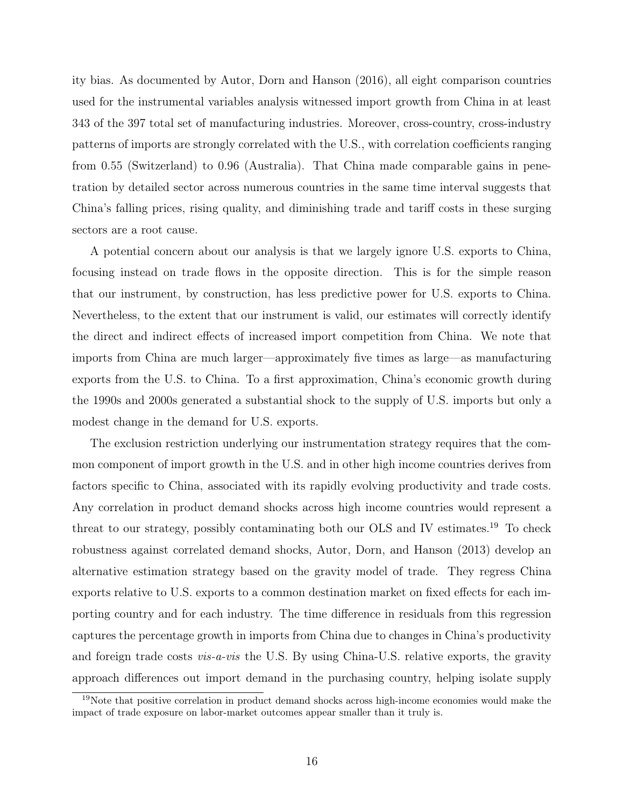ity bias. As documented by Autor, Dorn and Hanson (2016), all eight comparison countries used for the instrumental variables analysis witnessed import growth from China in at least 343 of the 397 total set of manufacturing industries. Moreover, cross-country, cross-industry patterns of imports are strongly correlated with the U.S., with correlation coefficients ranging from 0.55 (Switzerland) to 0.96 (Australia). That China made comparable gains in penetration by detailed sector across numerous countries in the same time interval suggests that China's falling prices, rising quality, and diminishing trade and tariff costs in these surging sectors are a root cause.

A potential concern about our analysis is that we largely ignore U.S. exports to China, focusing instead on trade flows in the opposite direction. This is for the simple reason that our instrument, by construction, has less predictive power for U.S. exports to China. Nevertheless, to the extent that our instrument is valid, our estimates will correctly identify the direct and indirect effects of increased import competition from China. We note that imports from China are much larger—approximately five times as large—as manufacturing exports from the U.S. to China. To a first approximation, China's economic growth during the 1990s and 2000s generated a substantial shock to the supply of U.S. imports but only a modest change in the demand for U.S. exports.

The exclusion restriction underlying our instrumentation strategy requires that the common component of import growth in the U.S. and in other high income countries derives from factors specific to China, associated with its rapidly evolving productivity and trade costs. Any correlation in product demand shocks across high income countries would represent a threat to our strategy, possibly contaminating both our OLS and IV estimates.<sup>19</sup> To check robustness against correlated demand shocks, Autor, Dorn, and Hanson (2013) develop an alternative estimation strategy based on the gravity model of trade. They regress China exports relative to U.S. exports to a common destination market on fixed effects for each importing country and for each industry. The time difference in residuals from this regression captures the percentage growth in imports from China due to changes in China's productivity and foreign trade costs *vis-a-vis* the U.S. By using China-U.S. relative exports, the gravity approach differences out import demand in the purchasing country, helping isolate supply

 $19$ Note that positive correlation in product demand shocks across high-income economies would make the impact of trade exposure on labor-market outcomes appear smaller than it truly is.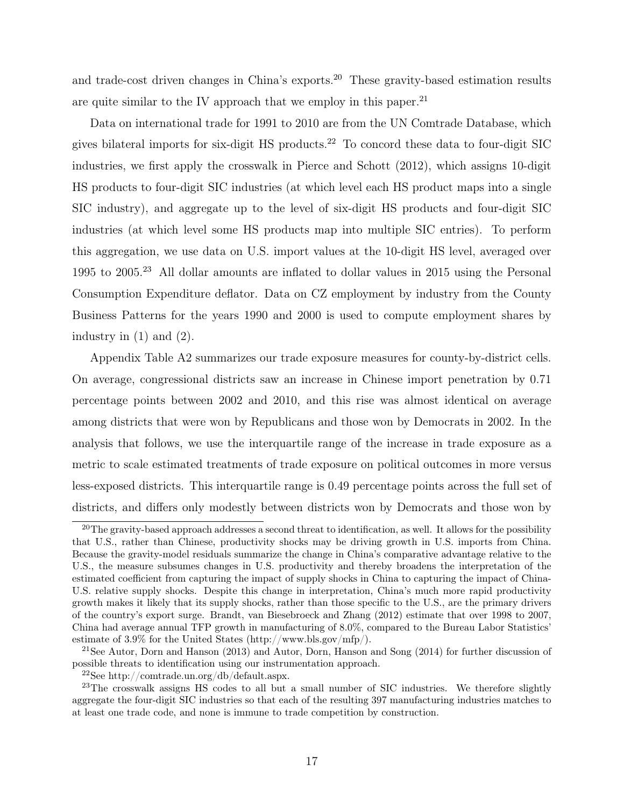and trade-cost driven changes in China's exports.<sup>20</sup> These gravity-based estimation results are quite similar to the IV approach that we employ in this paper.<sup>21</sup>

Data on international trade for 1991 to 2010 are from the UN Comtrade Database, which gives bilateral imports for six-digit HS products.<sup>22</sup> To concord these data to four-digit SIC industries, we first apply the crosswalk in Pierce and Schott (2012), which assigns 10-digit HS products to four-digit SIC industries (at which level each HS product maps into a single SIC industry), and aggregate up to the level of six-digit HS products and four-digit SIC industries (at which level some HS products map into multiple SIC entries). To perform this aggregation, we use data on U.S. import values at the 10-digit HS level, averaged over 1995 to 2005.<sup>23</sup> All dollar amounts are inflated to dollar values in 2015 using the Personal Consumption Expenditure deflator. Data on CZ employment by industry from the County Business Patterns for the years 1990 and 2000 is used to compute employment shares by industry in  $(1)$  and  $(2)$ .

Appendix Table A2 summarizes our trade exposure measures for county-by-district cells. On average, congressional districts saw an increase in Chinese import penetration by 0.71 percentage points between 2002 and 2010, and this rise was almost identical on average among districts that were won by Republicans and those won by Democrats in 2002. In the analysis that follows, we use the interquartile range of the increase in trade exposure as a metric to scale estimated treatments of trade exposure on political outcomes in more versus less-exposed districts. This interquartile range is 0.49 percentage points across the full set of districts, and differs only modestly between districts won by Democrats and those won by

 $20$ The gravity-based approach addresses a second threat to identification, as well. It allows for the possibility that U.S., rather than Chinese, productivity shocks may be driving growth in U.S. imports from China. Because the gravity-model residuals summarize the change in China's comparative advantage relative to the U.S., the measure subsumes changes in U.S. productivity and thereby broadens the interpretation of the estimated coefficient from capturing the impact of supply shocks in China to capturing the impact of China-U.S. relative supply shocks. Despite this change in interpretation, China's much more rapid productivity growth makes it likely that its supply shocks, rather than those specific to the U.S., are the primary drivers of the country's export surge. Brandt, van Biesebroeck and Zhang (2012) estimate that over 1998 to 2007, China had average annual TFP growth in manufacturing of 8.0%, compared to the Bureau Labor Statistics' estimate of 3.9% for the United States (http://www.bls.gov/mfp/).

<sup>&</sup>lt;sup>21</sup>See Autor, Dorn and Hanson (2013) and Autor, Dorn, Hanson and Song (2014) for further discussion of possible threats to identification using our instrumentation approach.

<sup>22</sup>See http://comtrade.un.org/db/default.aspx.

<sup>&</sup>lt;sup>23</sup>The crosswalk assigns HS codes to all but a small number of SIC industries. We therefore slightly aggregate the four-digit SIC industries so that each of the resulting 397 manufacturing industries matches to at least one trade code, and none is immune to trade competition by construction.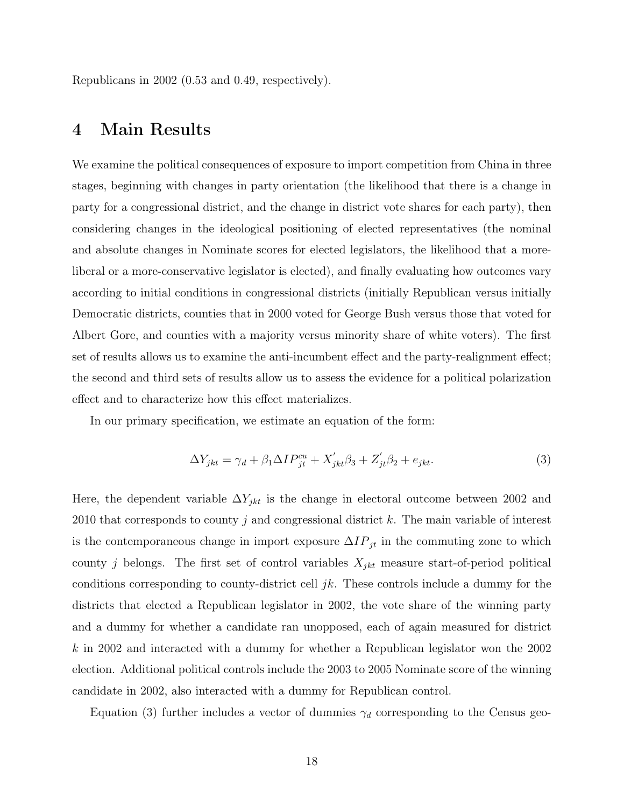Republicans in 2002 (0.53 and 0.49, respectively).

### 4 Main Results

We examine the political consequences of exposure to import competition from China in three stages, beginning with changes in party orientation (the likelihood that there is a change in party for a congressional district, and the change in district vote shares for each party), then considering changes in the ideological positioning of elected representatives (the nominal and absolute changes in Nominate scores for elected legislators, the likelihood that a moreliberal or a more-conservative legislator is elected), and finally evaluating how outcomes vary according to initial conditions in congressional districts (initially Republican versus initially Democratic districts, counties that in 2000 voted for George Bush versus those that voted for Albert Gore, and counties with a majority versus minority share of white voters). The first set of results allows us to examine the anti-incumbent effect and the party-realignment effect; the second and third sets of results allow us to assess the evidence for a political polarization effect and to characterize how this effect materializes.

In our primary specification, we estimate an equation of the form:

$$
\Delta Y_{jkt} = \gamma_d + \beta_1 \Delta I P_{jt}^{cu} + X'_{jkt} \beta_3 + Z'_{jt} \beta_2 + e_{jkt}.
$$
\n(3)

Here, the dependent variable  $\Delta Y_{jkt}$  is the change in electoral outcome between 2002 and 2010 that corresponds to county j and congressional district  $k$ . The main variable of interest is the contemporaneous change in import exposure  $\Delta IP_{jt}$  in the commuting zone to which county j belongs. The first set of control variables  $X_{jkt}$  measure start-of-period political conditions corresponding to county-district cell  $jk$ . These controls include a dummy for the districts that elected a Republican legislator in 2002, the vote share of the winning party and a dummy for whether a candidate ran unopposed, each of again measured for district  $k$  in 2002 and interacted with a dummy for whether a Republican legislator won the 2002 election. Additional political controls include the 2003 to 2005 Nominate score of the winning candidate in 2002, also interacted with a dummy for Republican control.

Equation (3) further includes a vector of dummies  $\gamma_d$  corresponding to the Census geo-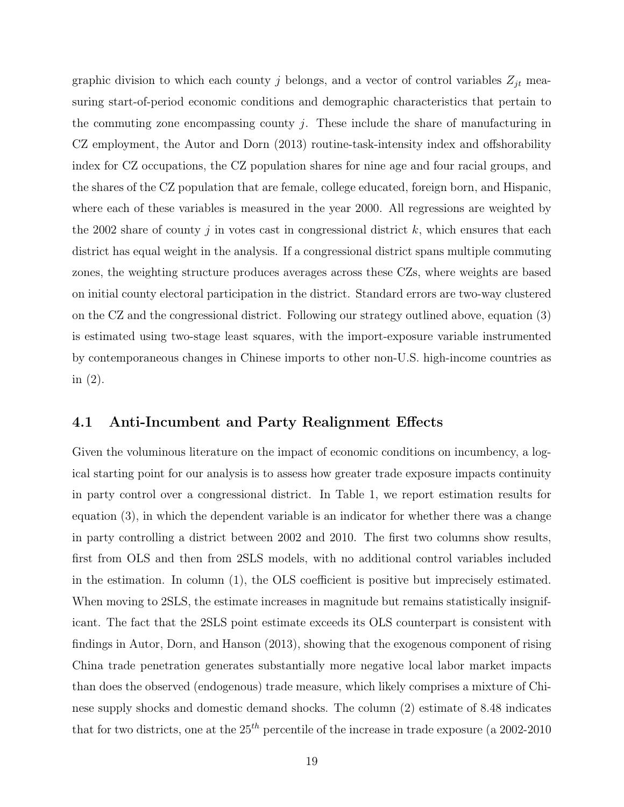graphic division to which each county j belongs, and a vector of control variables  $Z_{jt}$  measuring start-of-period economic conditions and demographic characteristics that pertain to the commuting zone encompassing county  $i$ . These include the share of manufacturing in CZ employment, the Autor and Dorn (2013) routine-task-intensity index and offshorability index for CZ occupations, the CZ population shares for nine age and four racial groups, and the shares of the CZ population that are female, college educated, foreign born, and Hispanic, where each of these variables is measured in the year 2000. All regressions are weighted by the 2002 share of county j in votes cast in congressional district  $k$ , which ensures that each district has equal weight in the analysis. If a congressional district spans multiple commuting zones, the weighting structure produces averages across these CZs, where weights are based on initial county electoral participation in the district. Standard errors are two-way clustered on the CZ and the congressional district. Following our strategy outlined above, equation (3) is estimated using two-stage least squares, with the import-exposure variable instrumented by contemporaneous changes in Chinese imports to other non-U.S. high-income countries as in (2).

#### 4.1 Anti-Incumbent and Party Realignment Effects

Given the voluminous literature on the impact of economic conditions on incumbency, a logical starting point for our analysis is to assess how greater trade exposure impacts continuity in party control over a congressional district. In Table 1, we report estimation results for equation (3), in which the dependent variable is an indicator for whether there was a change in party controlling a district between 2002 and 2010. The first two columns show results, first from OLS and then from 2SLS models, with no additional control variables included in the estimation. In column (1), the OLS coefficient is positive but imprecisely estimated. When moving to 2SLS, the estimate increases in magnitude but remains statistically insignificant. The fact that the 2SLS point estimate exceeds its OLS counterpart is consistent with findings in Autor, Dorn, and Hanson (2013), showing that the exogenous component of rising China trade penetration generates substantially more negative local labor market impacts than does the observed (endogenous) trade measure, which likely comprises a mixture of Chinese supply shocks and domestic demand shocks. The column (2) estimate of 8.48 indicates that for two districts, one at the  $25<sup>th</sup>$  percentile of the increase in trade exposure (a 2002-2010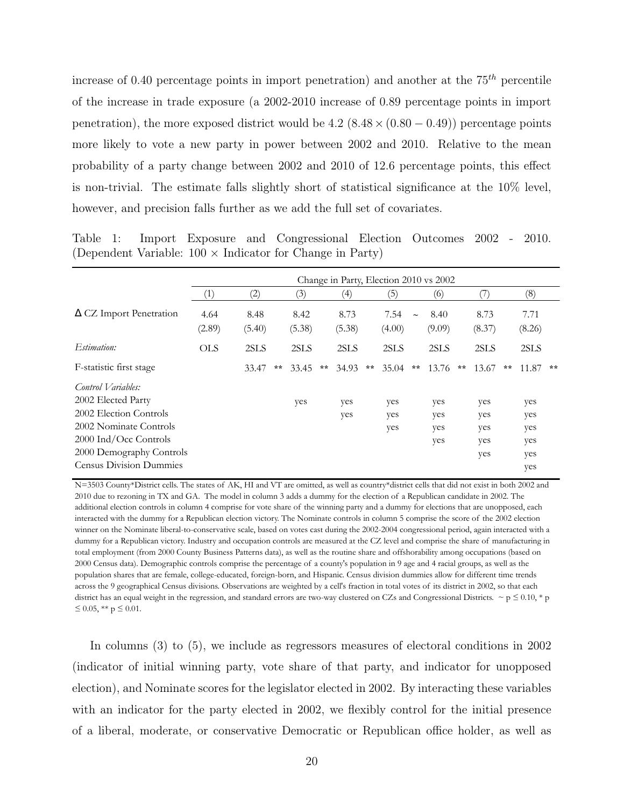increase of 0.40 percentage points in import penetration) and another at the  $75<sup>th</sup>$  percentile of the increase in trade exposure (a 2002-2010 increase of 0.89 percentage points in import penetration), the more exposed district would be  $4.2$  (8.48  $\times$  (0.80 – 0.49)) percentage points more likely to vote a new party in power between 2002 and 2010. Relative to the mean probability of a party change between 2002 and 2010 of 12.6 percentage points, this effect is non-trivial. The estimate falls slightly short of statistical significance at the 10% level, however, and precision falls further as we add the full set of covariates.

Table 1: Import Exposure and Congressional Election Outcomes 2002 - 2010. (Dependent Variable:  $100 \times$  Indicator for Change in Party)

|                                |                |                |                |    | Change in Party, Election 2010 vs 2002 |              |                |        |                |              |                |    |                |    |
|--------------------------------|----------------|----------------|----------------|----|----------------------------------------|--------------|----------------|--------|----------------|--------------|----------------|----|----------------|----|
|                                | $\perp$        | (2)            | (3)            |    | (4)                                    |              | (5)            |        | (6)            |              | $\frac{1}{2}$  |    | (8)            |    |
| $\Delta$ CZ Import Penetration | 4.64<br>(2.89) | 8.48<br>(5.40) | 8.42<br>(5.38) |    | 8.73<br>(5.38)                         |              | 7.54<br>(4.00) | $\sim$ | 8.40<br>(9.09) |              | 8.73<br>(8.37) |    | 7.71<br>(8.26) |    |
| Estimation:                    | <b>OLS</b>     | 2SLS           | 2SLS           |    | 2SLS                                   |              | 2SLS           |        | 2SLS           |              | 2SLS           |    | 2SLS           |    |
| F-statistic first stage        |                | 33.47          | 33.45<br>$* *$ | ** | 34.93                                  | $\star\star$ | 35.04          | $**$   | 13.76          | $\star\star$ | 13.67          | ** | 11.87          | ** |
| Control Variables:             |                |                |                |    |                                        |              |                |        |                |              |                |    |                |    |
| 2002 Elected Party             |                |                | yes            |    | yes                                    |              | yes            |        | yes            |              | yes            |    | yes            |    |
| 2002 Election Controls         |                |                |                |    | yes                                    |              | yes            |        | yes            |              | yes            |    | yes            |    |
| 2002 Nominate Controls         |                |                |                |    |                                        |              | yes            |        | yes            |              | yes            |    | yes            |    |
| 2000 Ind/Occ Controls          |                |                |                |    |                                        |              |                |        | yes            |              | yes            |    | yes            |    |
| 2000 Demography Controls       |                |                |                |    |                                        |              |                |        |                |              | yes            |    | yes            |    |
| <b>Census Division Dummies</b> |                |                |                |    |                                        |              |                |        |                |              |                |    | yes            |    |

N=3503 County\*District cells. The states of AK, HI and VT are omitted, as well as country\*district cells that did not exist in both 2002 and 2010 due to rezoning in TX and GA. The model in column 3 adds a dummy for the election of a Republican candidate in 2002. The additional election controls in column 4 comprise for vote share of the winning party and a dummy for elections that are unopposed, each interacted with the dummy for a Republican election victory. The Nominate controls in column 5 comprise the score of the 2002 election winner on the Nominate liberal-to-conservative scale, based on votes cast during the 2002-2004 congressional period, again interacted with a dummy for a Republican victory. Industry and occupation controls are measured at the CZ level and comprise the share of manufacturing in total employment (from 2000 County Business Patterns data), as well as the routine share and offshorability among occupations (based on 2000 Census data). Demographic controls comprise the percentage of a county's population in 9 age and 4 racial groups, as well as the population shares that are female, college-educated, foreign-born, and Hispanic. Census division dummies allow for different time trends across the 9 geographical Census divisions. Observations are weighted by a cell's fraction in total votes of its district in 2002, so that each district has an equal weight in the regression, and standard errors are two-way clustered on CZs and Congressional Districts.  $\sim p \leq 0.10, *p$  $\leq 0.05$ , \*\*  $p \leq 0.01$ .

In columns (3) to (5), we include as regressors measures of electoral conditions in 2002 (indicator of initial winning party, vote share of that party, and indicator for unopposed election), and Nominate scores for the legislator elected in 2002. By interacting these variables with an indicator for the party elected in 2002, we flexibly control for the initial presence of a liberal, moderate, or conservative Democratic or Republican office holder, as well as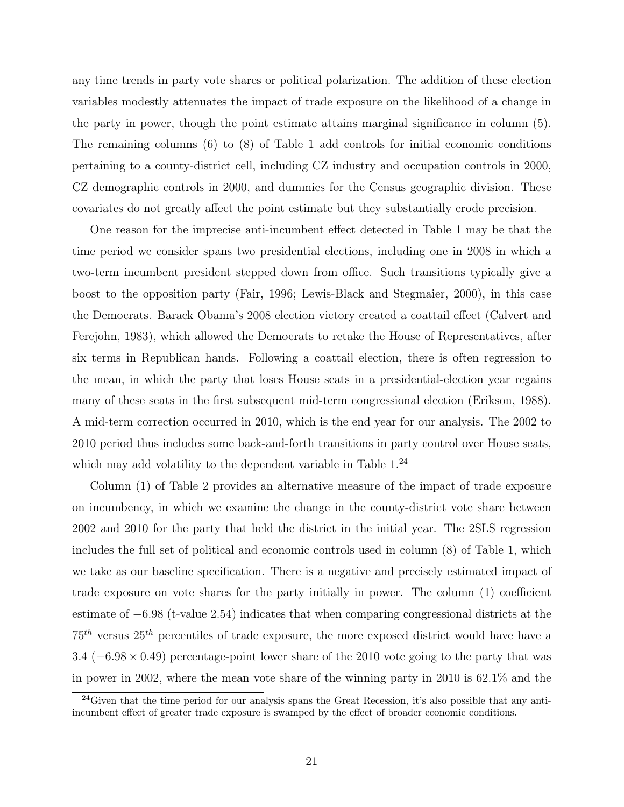any time trends in party vote shares or political polarization. The addition of these election variables modestly attenuates the impact of trade exposure on the likelihood of a change in the party in power, though the point estimate attains marginal significance in column (5). The remaining columns (6) to (8) of Table 1 add controls for initial economic conditions pertaining to a county-district cell, including CZ industry and occupation controls in 2000, CZ demographic controls in 2000, and dummies for the Census geographic division. These covariates do not greatly affect the point estimate but they substantially erode precision.

One reason for the imprecise anti-incumbent effect detected in Table 1 may be that the time period we consider spans two presidential elections, including one in 2008 in which a two-term incumbent president stepped down from office. Such transitions typically give a boost to the opposition party (Fair, 1996; Lewis-Black and Stegmaier, 2000), in this case the Democrats. Barack Obama's 2008 election victory created a coattail effect (Calvert and Ferejohn, 1983), which allowed the Democrats to retake the House of Representatives, after six terms in Republican hands. Following a coattail election, there is often regression to the mean, in which the party that loses House seats in a presidential-election year regains many of these seats in the first subsequent mid-term congressional election (Erikson, 1988). A mid-term correction occurred in 2010, which is the end year for our analysis. The 2002 to 2010 period thus includes some back-and-forth transitions in party control over House seats, which may add volatility to the dependent variable in Table  $1<sup>24</sup>$ 

Column (1) of Table 2 provides an alternative measure of the impact of trade exposure on incumbency, in which we examine the change in the county-district vote share between 2002 and 2010 for the party that held the district in the initial year. The 2SLS regression includes the full set of political and economic controls used in column (8) of Table 1, which we take as our baseline specification. There is a negative and precisely estimated impact of trade exposure on vote shares for the party initially in power. The column (1) coefficient estimate of −6.98 (t-value 2.54) indicates that when comparing congressional districts at the  $75<sup>th</sup>$  versus  $25<sup>th</sup>$  percentiles of trade exposure, the more exposed district would have have a 3.4 (−6.98 × 0.49) percentage-point lower share of the 2010 vote going to the party that was in power in 2002, where the mean vote share of the winning party in 2010 is 62.1% and the

 $^{24}$ Given that the time period for our analysis spans the Great Recession, it's also possible that any antiincumbent effect of greater trade exposure is swamped by the effect of broader economic conditions.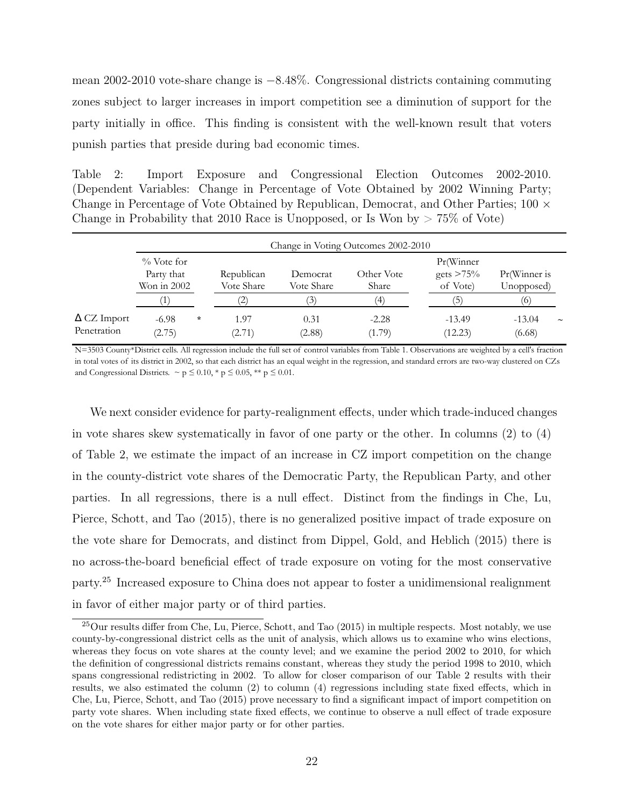mean 2002-2010 vote-share change is −8.48%. Congressional districts containing commuting zones subject to larger increases in import competition see a diminution of support for the party initially in office. This finding is consistent with the well-known result that voters punish parties that preside during bad economic times.

Table 2: Import Exposure and Congressional Election Outcomes 2002-2010. (Dependent Variables: Change in Percentage of Vote Obtained by 2002 Winning Party; Change in Percentage of Vote Obtained by Republican, Democrat, and Other Parties; 100 × Change in Probability that 2010 Race is Unopposed, or Is Won by  $> 75\%$  of Vote)

|                                   |                                              |         |                          |                        | Change in Voting Outcomes 2002-2010 |                                       |                            |                       |
|-----------------------------------|----------------------------------------------|---------|--------------------------|------------------------|-------------------------------------|---------------------------------------|----------------------------|-----------------------|
|                                   | $\%$ Vote for<br>Party that<br>Won in $2002$ |         | Republican<br>Vote Share | Democrat<br>Vote Share | Other Vote<br>Share                 | Pr(Winner<br>gets $>75\%$<br>of Vote) | Pr(Winner is<br>Unopposed) |                       |
|                                   |                                              |         |                          | $\mathfrak{I}$         | $\langle 4 \rangle$                 | (5                                    | (6)                        |                       |
| $\Delta$ CZ Import<br>Penetration | $-6.98$<br>(2.75)                            | $\star$ | 1.97<br>(2.71)           | 0.31<br>(2.88)         | $-2.28$<br>(1.79)                   | $-13.49$<br>(12.23)                   | $-13.04$<br>(6.68)         | $\tilde{\phantom{a}}$ |

N=3503 County\*District cells. All regression include the full set of control variables from Table 1. Observations are weighted by a cell's fraction in total votes of its district in 2002, so that each district has an equal weight in the regression, and standard errors are two-way clustered on CZs and Congressional Districts.  $\sim p \leq 0.10$ , \*  $p \leq 0.05$ , \*\*  $p \leq 0.01$ .

We next consider evidence for party-realignment effects, under which trade-induced changes in vote shares skew systematically in favor of one party or the other. In columns (2) to (4) of Table 2, we estimate the impact of an increase in CZ import competition on the change in the county-district vote shares of the Democratic Party, the Republican Party, and other parties. In all regressions, there is a null effect. Distinct from the findings in Che, Lu, Pierce, Schott, and Tao (2015), there is no generalized positive impact of trade exposure on the vote share for Democrats, and distinct from Dippel, Gold, and Heblich (2015) there is no across-the-board beneficial effect of trade exposure on voting for the most conservative party.<sup>25</sup> Increased exposure to China does not appear to foster a unidimensional realignment in favor of either major party or of third parties.

 $^{25}$ Our results differ from Che, Lu, Pierce, Schott, and Tao (2015) in multiple respects. Most notably, we use county-by-congressional district cells as the unit of analysis, which allows us to examine who wins elections, whereas they focus on vote shares at the county level; and we examine the period 2002 to 2010, for which the definition of congressional districts remains constant, whereas they study the period 1998 to 2010, which spans congressional redistricting in 2002. To allow for closer comparison of our Table 2 results with their results, we also estimated the column (2) to column (4) regressions including state fixed effects, which in Che, Lu, Pierce, Schott, and Tao (2015) prove necessary to find a significant impact of import competition on party vote shares. When including state fixed effects, we continue to observe a null effect of trade exposure on the vote shares for either major party or for other parties.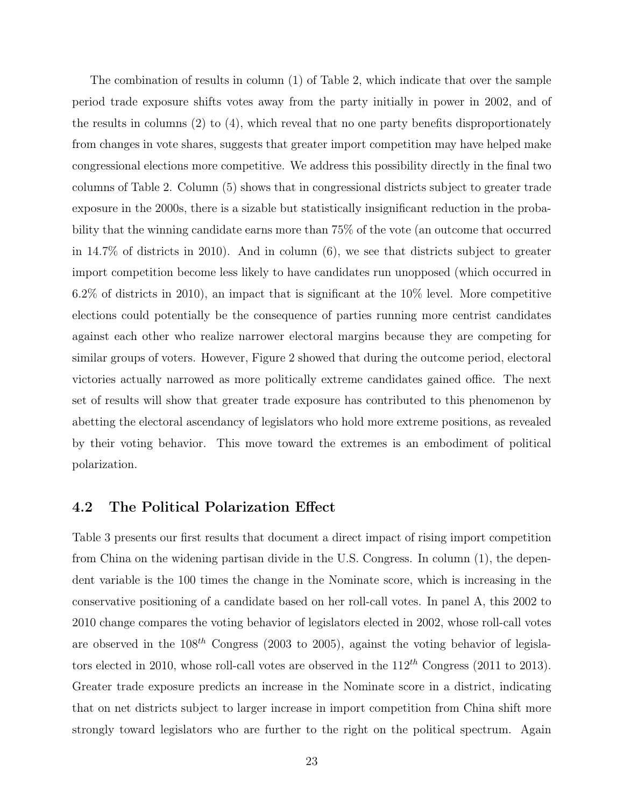The combination of results in column (1) of Table 2, which indicate that over the sample period trade exposure shifts votes away from the party initially in power in 2002, and of the results in columns (2) to (4), which reveal that no one party benefits disproportionately from changes in vote shares, suggests that greater import competition may have helped make congressional elections more competitive. We address this possibility directly in the final two columns of Table 2. Column (5) shows that in congressional districts subject to greater trade exposure in the 2000s, there is a sizable but statistically insignificant reduction in the probability that the winning candidate earns more than 75% of the vote (an outcome that occurred in 14.7% of districts in 2010). And in column (6), we see that districts subject to greater import competition become less likely to have candidates run unopposed (which occurred in 6.2% of districts in 2010), an impact that is significant at the 10% level. More competitive elections could potentially be the consequence of parties running more centrist candidates against each other who realize narrower electoral margins because they are competing for similar groups of voters. However, Figure 2 showed that during the outcome period, electoral victories actually narrowed as more politically extreme candidates gained office. The next set of results will show that greater trade exposure has contributed to this phenomenon by abetting the electoral ascendancy of legislators who hold more extreme positions, as revealed by their voting behavior. This move toward the extremes is an embodiment of political polarization.

#### 4.2 The Political Polarization Effect

Table 3 presents our first results that document a direct impact of rising import competition from China on the widening partisan divide in the U.S. Congress. In column (1), the dependent variable is the 100 times the change in the Nominate score, which is increasing in the conservative positioning of a candidate based on her roll-call votes. In panel A, this 2002 to 2010 change compares the voting behavior of legislators elected in 2002, whose roll-call votes are observed in the  $108^{th}$  Congress (2003 to 2005), against the voting behavior of legislators elected in 2010, whose roll-call votes are observed in the  $112^{th}$  Congress (2011 to 2013). Greater trade exposure predicts an increase in the Nominate score in a district, indicating that on net districts subject to larger increase in import competition from China shift more strongly toward legislators who are further to the right on the political spectrum. Again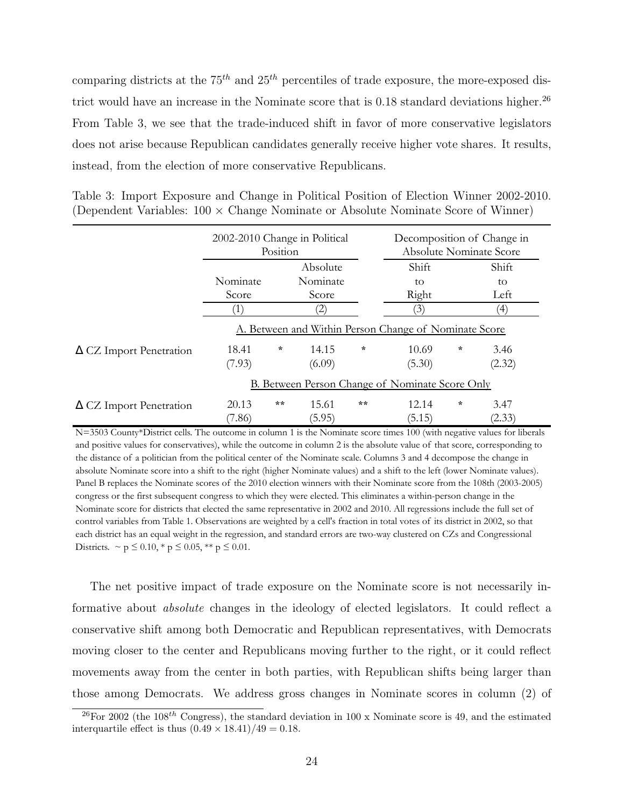comparing districts at the  $75<sup>th</sup>$  and  $25<sup>th</sup>$  percentiles of trade exposure, the more-exposed district would have an increase in the Nominate score that is  $0.18$  standard deviations higher.<sup>26</sup> From Table 3, we see that the trade-induced shift in favor of more conservative legislators does not arise because Republican candidates generally receive higher vote shares. It results, instead, from the election of more conservative Republicans.

|  |  |  | Table 3: Import Exposure and Change in Political Position of Election Winner 2002-2010.  |  |
|--|--|--|------------------------------------------------------------------------------------------|--|
|  |  |  | (Dependent Variables: $100 \times$ Change Nominate or Absolute Nominate Score of Winner) |  |

|                                | 2002-2010 Change in Political<br>Position |         |                   |        | Decomposition of Change in<br><b>Absolute Nominate Score</b> |   |                   |  |  |
|--------------------------------|-------------------------------------------|---------|-------------------|--------|--------------------------------------------------------------|---|-------------------|--|--|
|                                |                                           |         | Absolute          |        | Shift                                                        |   | Shift             |  |  |
|                                | Nominate<br>Nominate                      |         | to                |        | to                                                           |   |                   |  |  |
|                                | Score                                     |         | Score             |        | Right                                                        |   | Left              |  |  |
|                                | $\mathbf{1}$                              |         | $\left( 2\right)$ |        | '3)                                                          |   | $\left( 4\right)$ |  |  |
|                                |                                           |         |                   |        | A. Between and Within Person Change of Nominate Score        |   |                   |  |  |
| $\Delta$ CZ Import Penetration | 18.41                                     | $\star$ | 14.15             | $\ast$ | 10.69                                                        | ÷ | 3.46              |  |  |
|                                | (7.93)                                    |         | (6.09)            |        | (5.30)                                                       |   | (2.32)            |  |  |
|                                |                                           |         |                   |        | B. Between Person Change of Nominate Score Only              |   |                   |  |  |
| $\Delta$ CZ Import Penetration | 20.13                                     | **      | 15.61             | $**$   | 12.14                                                        | ÷ | 3.47              |  |  |
|                                | (7.86)                                    |         | (5.95)            |        | (5.15)                                                       |   | (2.33)            |  |  |

N=3503 County\*District cells. The outcome in column 1 is the Nominate score times 100 (with negative values for liberals and positive values for conservatives), while the outcome in column 2 is the absolute value of that score, corresponding to the distance of a politician from the political center of the Nominate scale. Columns 3 and 4 decompose the change in absolute Nominate score into a shift to the right (higher Nominate values) and a shift to the left (lower Nominate values). Panel B replaces the Nominate scores of the 2010 election winners with their Nominate score from the 108th (2003-2005) congress or the first subsequent congress to which they were elected. This eliminates a within-person change in the Nominate score for districts that elected the same representative in 2002 and 2010. All regressions include the full set of control variables from Table 1. Observations are weighted by a cell's fraction in total votes of its district in 2002, so that each district has an equal weight in the regression, and standard errors are two-way clustered on CZs and Congressional Districts.  $\sim p \leq 0.10$ , \*  $p \leq 0.05$ , \*\*  $p \leq 0.01$ .

The net positive impact of trade exposure on the Nominate score is not necessarily informative about absolute changes in the ideology of elected legislators. It could reflect a conservative shift among both Democratic and Republican representatives, with Democrats moving closer to the center and Republicans moving further to the right, or it could reflect movements away from the center in both parties, with Republican shifts being larger than those among Democrats. We address gross changes in Nominate scores in column (2) of

<sup>&</sup>lt;sup>26</sup>For 2002 (the 108<sup>th</sup> Congress), the standard deviation in 100 x Nominate score is 49, and the estimated interquartile effect is thus  $(0.49 \times 18.41)/49 = 0.18$ .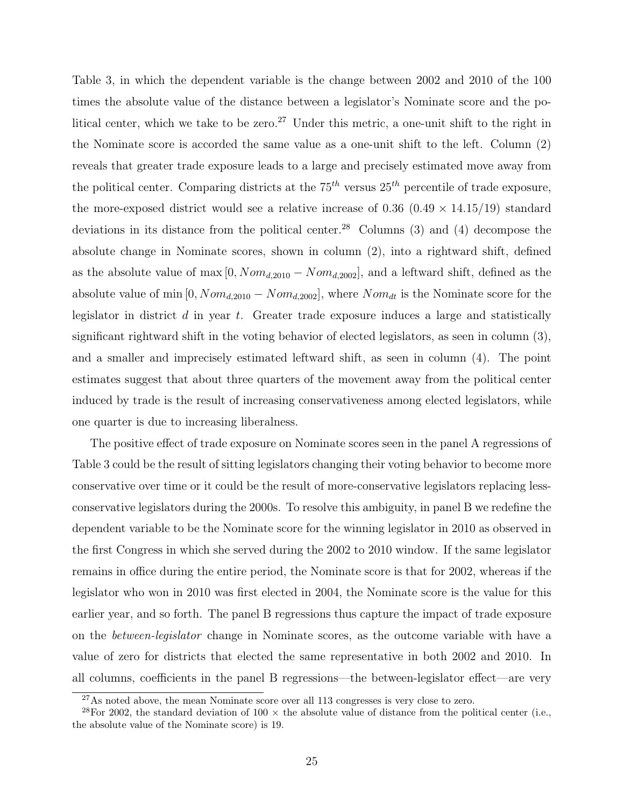Table 3, in which the dependent variable is the change between 2002 and 2010 of the 100 times the absolute value of the distance between a legislator's Nominate score and the political center, which we take to be zero.<sup>27</sup> Under this metric, a one-unit shift to the right in the Nominate score is accorded the same value as a one-unit shift to the left. Column (2) reveals that greater trade exposure leads to a large and precisely estimated move away from the political center. Comparing districts at the  $75^{th}$  versus  $25^{th}$  percentile of trade exposure, the more-exposed district would see a relative increase of  $0.36$   $(0.49 \times 14.15/19)$  standard deviations in its distance from the political center.<sup>28</sup> Columns  $(3)$  and  $(4)$  decompose the absolute change in Nominate scores, shown in column (2), into a rightward shift, defined as the absolute value of max  $[0, Nom_{d,2010} - Nom_{d,2002}]$ , and a leftward shift, defined as the absolute value of min  $[0, Nom_{d,2010} - Nom_{d,2002}]$ , where  $Nom_{dt}$  is the Nominate score for the legislator in district  $d$  in year  $t$ . Greater trade exposure induces a large and statistically significant rightward shift in the voting behavior of elected legislators, as seen in column (3), and a smaller and imprecisely estimated leftward shift, as seen in column (4). The point estimates suggest that about three quarters of the movement away from the political center induced by trade is the result of increasing conservativeness among elected legislators, while one quarter is due to increasing liberalness.

The positive effect of trade exposure on Nominate scores seen in the panel A regressions of Table 3 could be the result of sitting legislators changing their voting behavior to become more conservative over time or it could be the result of more-conservative legislators replacing lessconservative legislators during the 2000s. To resolve this ambiguity, in panel B we redefine the dependent variable to be the Nominate score for the winning legislator in 2010 as observed in the first Congress in which she served during the 2002 to 2010 window. If the same legislator remains in office during the entire period, the Nominate score is that for 2002, whereas if the legislator who won in 2010 was first elected in 2004, the Nominate score is the value for this earlier year, and so forth. The panel B regressions thus capture the impact of trade exposure on the between-legislator change in Nominate scores, as the outcome variable with have a value of zero for districts that elected the same representative in both 2002 and 2010. In all columns, coefficients in the panel B regressions—the between-legislator effect—are very

 $27\text{As}$  noted above, the mean Nominate score over all 113 congresses is very close to zero.

<sup>&</sup>lt;sup>28</sup>For 2002, the standard deviation of 100  $\times$  the absolute value of distance from the political center (i.e., the absolute value of the Nominate score) is 19.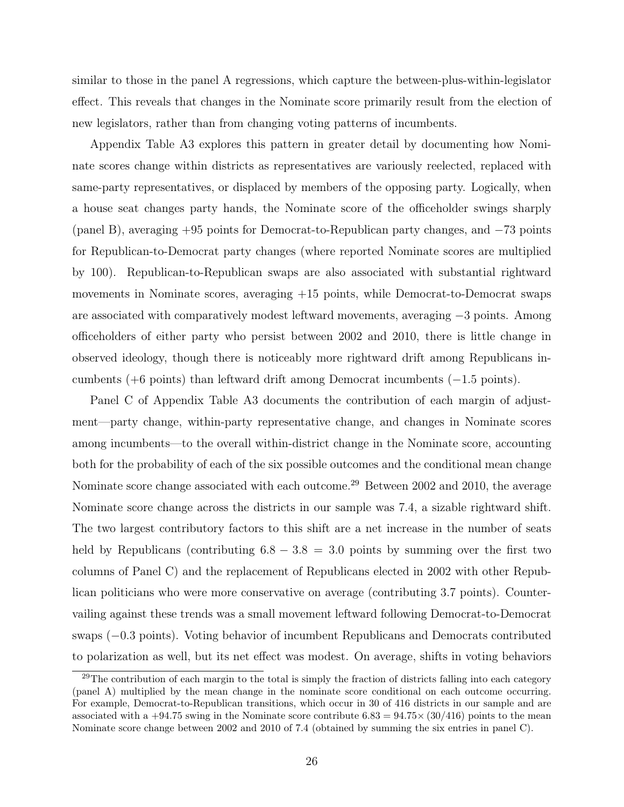similar to those in the panel A regressions, which capture the between-plus-within-legislator effect. This reveals that changes in the Nominate score primarily result from the election of new legislators, rather than from changing voting patterns of incumbents.

Appendix Table A3 explores this pattern in greater detail by documenting how Nominate scores change within districts as representatives are variously reelected, replaced with same-party representatives, or displaced by members of the opposing party. Logically, when a house seat changes party hands, the Nominate score of the officeholder swings sharply (panel B), averaging +95 points for Democrat-to-Republican party changes, and −73 points for Republican-to-Democrat party changes (where reported Nominate scores are multiplied by 100). Republican-to-Republican swaps are also associated with substantial rightward movements in Nominate scores, averaging +15 points, while Democrat-to-Democrat swaps are associated with comparatively modest leftward movements, averaging −3 points. Among officeholders of either party who persist between 2002 and 2010, there is little change in observed ideology, though there is noticeably more rightward drift among Republicans incumbents (+6 points) than leftward drift among Democrat incumbents ( $-1.5$  points).

Panel C of Appendix Table A3 documents the contribution of each margin of adjustment—party change, within-party representative change, and changes in Nominate scores among incumbents—to the overall within-district change in the Nominate score, accounting both for the probability of each of the six possible outcomes and the conditional mean change Nominate score change associated with each outcome.<sup>29</sup> Between 2002 and 2010, the average Nominate score change across the districts in our sample was 7.4, a sizable rightward shift. The two largest contributory factors to this shift are a net increase in the number of seats held by Republicans (contributing  $6.8 - 3.8 = 3.0$  points by summing over the first two columns of Panel C) and the replacement of Republicans elected in 2002 with other Republican politicians who were more conservative on average (contributing 3.7 points). Countervailing against these trends was a small movement leftward following Democrat-to-Democrat swaps (−0.3 points). Voting behavior of incumbent Republicans and Democrats contributed to polarization as well, but its net effect was modest. On average, shifts in voting behaviors

 $^{29}$ The contribution of each margin to the total is simply the fraction of districts falling into each category (panel A) multiplied by the mean change in the nominate score conditional on each outcome occurring. For example, Democrat-to-Republican transitions, which occur in 30 of 416 districts in our sample and are associated with a +94.75 swing in the Nominate score contribute  $6.83 = 94.75 \times (30/416)$  points to the mean Nominate score change between 2002 and 2010 of 7.4 (obtained by summing the six entries in panel C).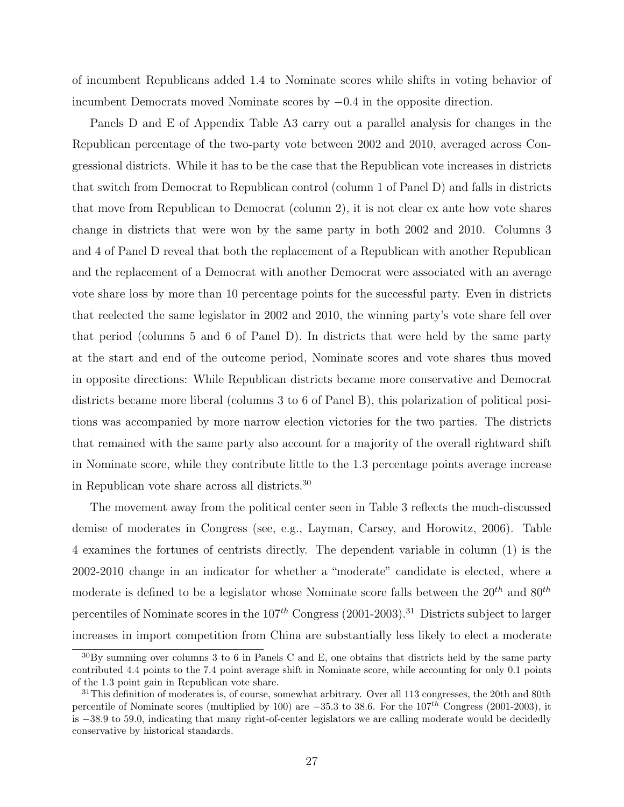of incumbent Republicans added 1.4 to Nominate scores while shifts in voting behavior of incumbent Democrats moved Nominate scores by −0.4 in the opposite direction.

Panels D and E of Appendix Table A3 carry out a parallel analysis for changes in the Republican percentage of the two-party vote between 2002 and 2010, averaged across Congressional districts. While it has to be the case that the Republican vote increases in districts that switch from Democrat to Republican control (column 1 of Panel D) and falls in districts that move from Republican to Democrat (column 2), it is not clear ex ante how vote shares change in districts that were won by the same party in both 2002 and 2010. Columns 3 and 4 of Panel D reveal that both the replacement of a Republican with another Republican and the replacement of a Democrat with another Democrat were associated with an average vote share loss by more than 10 percentage points for the successful party. Even in districts that reelected the same legislator in 2002 and 2010, the winning party's vote share fell over that period (columns 5 and 6 of Panel D). In districts that were held by the same party at the start and end of the outcome period, Nominate scores and vote shares thus moved in opposite directions: While Republican districts became more conservative and Democrat districts became more liberal (columns 3 to 6 of Panel B), this polarization of political positions was accompanied by more narrow election victories for the two parties. The districts that remained with the same party also account for a majority of the overall rightward shift in Nominate score, while they contribute little to the 1.3 percentage points average increase in Republican vote share across all districts.<sup>30</sup>

The movement away from the political center seen in Table 3 reflects the much-discussed demise of moderates in Congress (see, e.g., Layman, Carsey, and Horowitz, 2006). Table 4 examines the fortunes of centrists directly. The dependent variable in column (1) is the 2002-2010 change in an indicator for whether a "moderate" candidate is elected, where a moderate is defined to be a legislator whose Nominate score falls between the  $20^{th}$  and  $80^{th}$ percentiles of Nominate scores in the  $107<sup>th</sup>$  Congress (2001-2003).<sup>31</sup> Districts subject to larger increases in import competition from China are substantially less likely to elect a moderate

 $30\text{By summing over columns } 3$  to 6 in Panels C and E, one obtains that districts held by the same party contributed 4.4 points to the 7.4 point average shift in Nominate score, while accounting for only 0.1 points of the 1.3 point gain in Republican vote share.

<sup>&</sup>lt;sup>31</sup>This definition of moderates is, of course, somewhat arbitrary. Over all 113 congresses, the 20th and 80th percentile of Nominate scores (multiplied by 100) are  $-35.3$  to 38.6. For the  $107^{th}$  Congress (2001-2003), it is −38.9 to 59.0, indicating that many right-of-center legislators we are calling moderate would be decidedly conservative by historical standards.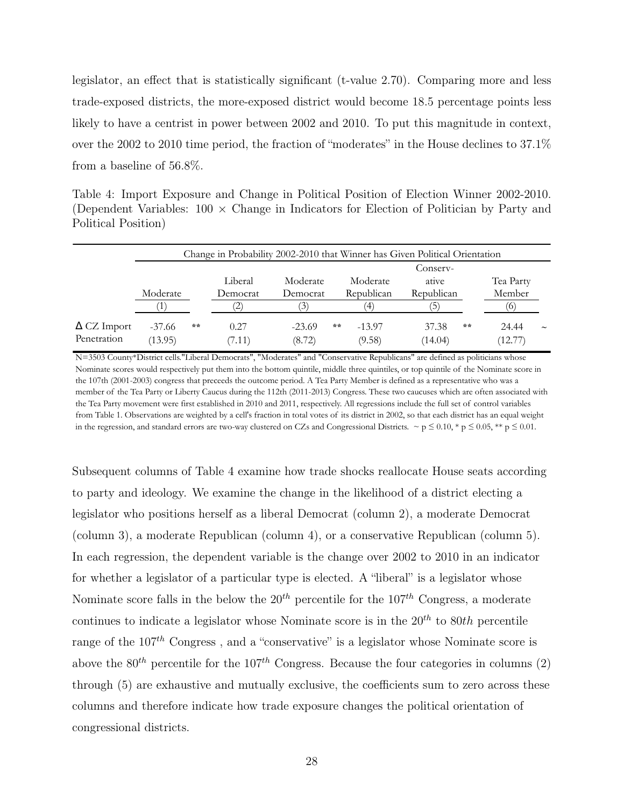legislator, an effect that is statistically significant (t-value 2.70). Comparing more and less trade-exposed districts, the more-exposed district would become 18.5 percentage points less likely to have a centrist in power between 2002 and 2010. To put this magnitude in context, over the 2002 to 2010 time period, the fraction of "moderates" in the House declines to 37.1% from a baseline of 56.8%.

Table 4: Import Exposure and Change in Political Position of Election Winner 2002-2010. (Dependent Variables:  $100 \times$  Change in Indicators for Election of Politician by Party and Political Position)

|                    | Change in Probability 2002-2010 that Winner has Given Political Orientation |       |          |                  |    |            |            |    |           |                       |  |
|--------------------|-----------------------------------------------------------------------------|-------|----------|------------------|----|------------|------------|----|-----------|-----------------------|--|
|                    |                                                                             |       | Conserv- |                  |    |            |            |    |           |                       |  |
|                    |                                                                             |       | Liberal  | Moderate         |    | Moderate   | ative      |    | Tea Party |                       |  |
|                    | Moderate                                                                    |       | Democrat | Democrat         |    | Republican | Republican |    | Member    |                       |  |
|                    |                                                                             |       |          | $\left(3\right)$ |    | (4)        | 5          |    | О         |                       |  |
| $\Delta$ CZ Import | $-37.66$                                                                    | $* *$ | 0.27     | $-23.69$         | ** | $-13.97$   | 37.38      | ** | 24.44     | $\tilde{\phantom{a}}$ |  |
| Penetration        | (13.95)                                                                     |       | (7.11)   | (8.72)           |    | (9.58)     | (14.04)    |    | (12.77)   |                       |  |

N=3503 County\*District cells."Liberal Democrats", "Moderates" and "Conservative Republicans" are defined as politicians whose Nominate scores would respectively put them into the bottom quintile, middle three quintiles, or top quintile of the Nominate score in the 107th (2001-2003) congress that preceeds the outcome period. A Tea Party Member is defined as a representative who was a member of the Tea Party or Liberty Caucus during the 112th (2011-2013) Congress. These two caucuses which are often associated with the Tea Party movement were first established in 2010 and 2011, respectively. All regressions include the full set of control variables from Table 1. Observations are weighted by a cell's fraction in total votes of its district in 2002, so that each district has an equal weight in the regression, and standard errors are two-way clustered on CZs and Congressional Districts.  $\sim p \le 0.01$ ,  $\gamma p \le 0.05$ ,  $\gamma \approx p \le 0.01$ .

Subsequent columns of Table 4 examine how trade shocks reallocate House seats according to party and ideology. We examine the change in the likelihood of a district electing a legislator who positions herself as a liberal Democrat (column 2), a moderate Democrat (column 3), a moderate Republican (column 4), or a conservative Republican (column 5). In each regression, the dependent variable is the change over 2002 to 2010 in an indicator for whether a legislator of a particular type is elected. A "liberal" is a legislator whose Nominate score falls in the below the  $20^{th}$  percentile for the  $107^{th}$  Congress, a moderate continues to indicate a legislator whose Nominate score is in the  $20^{th}$  to  $80th$  percentile range of the  $107<sup>th</sup>$  Congress, and a "conservative" is a legislator whose Nominate score is above the  $80^{th}$  percentile for the  $107^{th}$  Congress. Because the four categories in columns (2) through (5) are exhaustive and mutually exclusive, the coefficients sum to zero across these columns and therefore indicate how trade exposure changes the political orientation of congressional districts.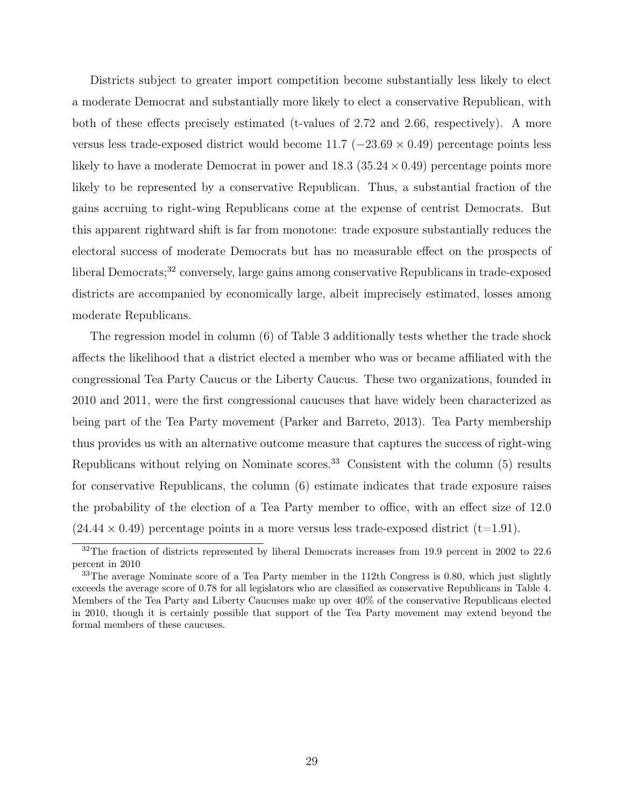Districts subject to greater import competition become substantially less likely to elect a moderate Democrat and substantially more likely to elect a conservative Republican, with both of these effects precisely estimated (t-values of 2.72 and 2.66, respectively). A more versus less trade-exposed district would become  $11.7$  ( $-23.69 \times 0.49$ ) percentage points less likely to have a moderate Democrat in power and  $18.3$  ( $35.24 \times 0.49$ ) percentage points more likely to be represented by a conservative Republican. Thus, a substantial fraction of the gains accruing to right-wing Republicans come at the expense of centrist Democrats. But this apparent rightward shift is far from monotone: trade exposure substantially reduces the electoral success of moderate Democrats but has no measurable effect on the prospects of liberal Democrats;<sup>32</sup> conversely, large gains among conservative Republicans in trade-exposed districts are accompanied by economically large, albeit imprecisely estimated, losses among moderate Republicans.

The regression model in column (6) of Table 3 additionally tests whether the trade shock affects the likelihood that a district elected a member who was or became affiliated with the congressional Tea Party Caucus or the Liberty Caucus. These two organizations, founded in 2010 and 2011, were the first congressional caucuses that have widely been characterized as being part of the Tea Party movement (Parker and Barreto, 2013). Tea Party membership thus provides us with an alternative outcome measure that captures the success of right-wing Republicans without relying on Nominate scores.<sup>33</sup> Consistent with the column  $(5)$  results for conservative Republicans, the column (6) estimate indicates that trade exposure raises the probability of the election of a Tea Party member to office, with an effect size of 12.0  $(24.44 \times 0.49)$  percentage points in a more versus less trade-exposed district (t=1.91).

 $\frac{32}{2}$ The fraction of districts represented by liberal Democrats increases from 19.9 percent in 2002 to 22.6 percent in 2010

 $33$ The average Nominate score of a Tea Party member in the 112th Congress is 0.80, which just slightly exceeds the average score of 0.78 for all legislators who are classified as conservative Republicans in Table 4. Members of the Tea Party and Liberty Caucuses make up over 40% of the conservative Republicans elected in 2010, though it is certainly possible that support of the Tea Party movement may extend beyond the formal members of these caucuses.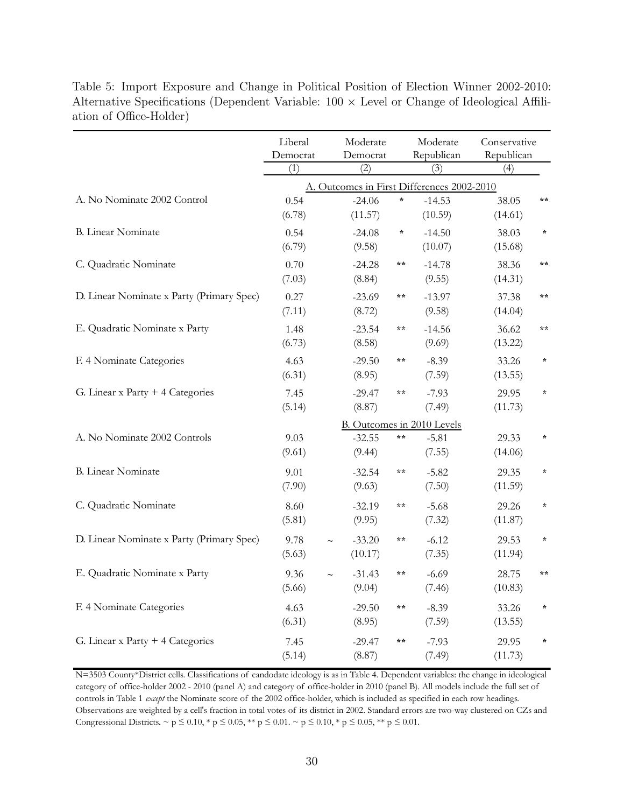|                                           | Liberal<br>Democrat<br>(1) | Moderate<br>Democrat<br>(2)                      |              | Moderate<br>Republican<br>(3)              | Conservative<br>Republican<br>(4) |               |  |  |
|-------------------------------------------|----------------------------|--------------------------------------------------|--------------|--------------------------------------------|-----------------------------------|---------------|--|--|
|                                           |                            |                                                  |              | A. Outcomes in First Differences 2002-2010 |                                   |               |  |  |
| A. No Nominate 2002 Control               | 0.54<br>(6.78)             | $-24.06$<br>(11.57)                              | $\star$      | $-14.53$<br>(10.59)                        | 38.05<br>(14.61)                  | $* *$         |  |  |
| <b>B.</b> Linear Nominate                 | 0.54<br>(6.79)             | $-24.08$<br>(9.58)                               | $\star$      | $-14.50$<br>(10.07)                        | 38.03<br>(15.68)                  | $\star$       |  |  |
| C. Quadratic Nominate                     | 0.70<br>(7.03)             | $-24.28$<br>(8.84)                               | **           | $-14.78$<br>(9.55)                         | 38.36<br>(14.31)                  | $\star \star$ |  |  |
| D. Linear Nominate x Party (Primary Spec) | 0.27<br>(7.11)             | $-23.69$<br>(8.72)                               | **           | $-13.97$<br>(9.58)                         | 37.38<br>(14.04)                  | $\star \star$ |  |  |
| E. Quadratic Nominate x Party             | 1.48<br>(6.73)             | $-23.54$<br>(8.58)                               | **           | $-14.56$<br>(9.69)                         | 36.62<br>(13.22)                  | $* *$         |  |  |
| F. 4 Nominate Categories                  | 4.63<br>(6.31)             | $-29.50$<br>(8.95)                               | **           | $-8.39$<br>(7.59)                          | 33.26<br>(13.55)                  | $\star$       |  |  |
| G. Linear x Party $+4$ Categories         | 7.45<br>(5.14)             | $-29.47$<br>(8.87)                               | **           | $-7.93$<br>(7.49)                          | 29.95<br>(11.73)                  | $\star$       |  |  |
|                                           |                            |                                                  |              | B. Outcomes in 2010 Levels                 |                                   |               |  |  |
| A. No Nominate 2002 Controls              | 9.03<br>(9.61)             | $-32.55$<br>(9.44)                               | **           | $-5.81$<br>(7.55)                          | 29.33<br>(14.06)                  | $\star$       |  |  |
| <b>B.</b> Linear Nominate                 | 9.01<br>(7.90)             | $-32.54$<br>(9.63)                               | $* *$        | $-5.82$<br>(7.50)                          | 29.35<br>(11.59)                  | $\star$       |  |  |
| C. Quadratic Nominate                     | 8.60<br>(5.81)             | $-32.19$<br>(9.95)                               | $* *$        | $-5.68$<br>(7.32)                          | 29.26<br>(11.87)                  | $\star$       |  |  |
| D. Linear Nominate x Party (Primary Spec) | 9.78<br>(5.63)             | $-33.20$<br>$\widetilde{\phantom{m}}$<br>(10.17) | **           | $-6.12$<br>(7.35)                          | 29.53<br>(11.94)                  | $\star$       |  |  |
| E. Quadratic Nominate x Party             | 9.36<br>(5.66)             | $-31.43$<br>(9.04)                               | **           | $-6.69$<br>(7.46)                          | 28.75<br>(10.83)                  | $* *$         |  |  |
| F. 4 Nominate Categories                  | 4.63<br>(6.31)             | $-29.50$<br>(8.95)                               | $\star\star$ | $-8.39$<br>(7.59)                          | 33.26<br>(13.55)                  | $\star$       |  |  |
| G. Linear x Party + 4 Categories          | 7.45<br>(5.14)             | $-29.47$<br>(8.87)                               | $\star\star$ | $-7.93$<br>(7.49)                          | 29.95<br>(11.73)                  | $\star$       |  |  |

Table 5: Import Exposure and Change in Political Position of Election Winner 2002-2010: Alternative Specifications (Dependent Variable:  $100 \times$  Level or Change of Ideological Affiliation of Office-Holder)

N=3503 County\*District cells. Classifications of candodate ideology is as in Table 4. Dependent variables: the change in ideological category of office-holder 2002 - 2010 (panel A) and category of office-holder in 2010 (panel B). All models include the full set of controls in Table 1 *except* the Nominate score of the 2002 office-holder, which is included as specified in each row headings. Observations are weighted by a cell's fraction in total votes of its district in 2002. Standard errors are two-way clustered on CZs and Congressional Districts. ~  $p \le 0.10$ , \*  $p \le 0.05$ , \*\*  $p \le 0.01$ . ~  $p \le 0.10$ , \*  $p \le 0.05$ , \*\*  $p \le 0.01$ .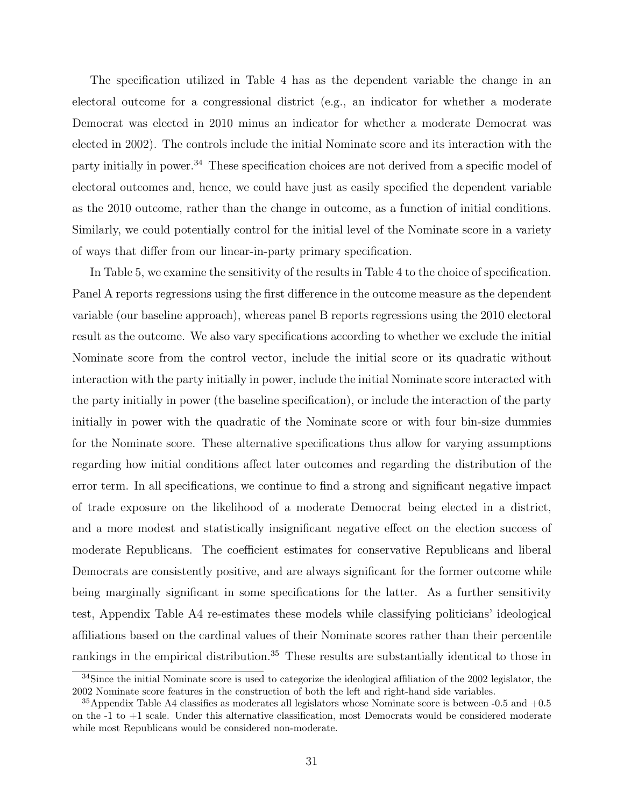The specification utilized in Table 4 has as the dependent variable the change in an electoral outcome for a congressional district (e.g., an indicator for whether a moderate Democrat was elected in 2010 minus an indicator for whether a moderate Democrat was elected in 2002). The controls include the initial Nominate score and its interaction with the party initially in power.<sup>34</sup> These specification choices are not derived from a specific model of electoral outcomes and, hence, we could have just as easily specified the dependent variable as the 2010 outcome, rather than the change in outcome, as a function of initial conditions. Similarly, we could potentially control for the initial level of the Nominate score in a variety of ways that differ from our linear-in-party primary specification.

In Table 5, we examine the sensitivity of the results in Table 4 to the choice of specification. Panel A reports regressions using the first difference in the outcome measure as the dependent variable (our baseline approach), whereas panel B reports regressions using the 2010 electoral result as the outcome. We also vary specifications according to whether we exclude the initial Nominate score from the control vector, include the initial score or its quadratic without interaction with the party initially in power, include the initial Nominate score interacted with the party initially in power (the baseline specification), or include the interaction of the party initially in power with the quadratic of the Nominate score or with four bin-size dummies for the Nominate score. These alternative specifications thus allow for varying assumptions regarding how initial conditions affect later outcomes and regarding the distribution of the error term. In all specifications, we continue to find a strong and significant negative impact of trade exposure on the likelihood of a moderate Democrat being elected in a district, and a more modest and statistically insignificant negative effect on the election success of moderate Republicans. The coefficient estimates for conservative Republicans and liberal Democrats are consistently positive, and are always significant for the former outcome while being marginally significant in some specifications for the latter. As a further sensitivity test, Appendix Table A4 re-estimates these models while classifying politicians' ideological affiliations based on the cardinal values of their Nominate scores rather than their percentile rankings in the empirical distribution.<sup>35</sup> These results are substantially identical to those in

<sup>&</sup>lt;sup>34</sup>Since the initial Nominate score is used to categorize the ideological affiliation of the 2002 legislator, the 2002 Nominate score features in the construction of both the left and right-hand side variables.

<sup>&</sup>lt;sup>35</sup>Appendix Table A4 classifies as moderates all legislators whose Nominate score is between  $-0.5$  and  $+0.5$ on the  $-1$  to  $+1$  scale. Under this alternative classification, most Democrats would be considered moderate while most Republicans would be considered non-moderate.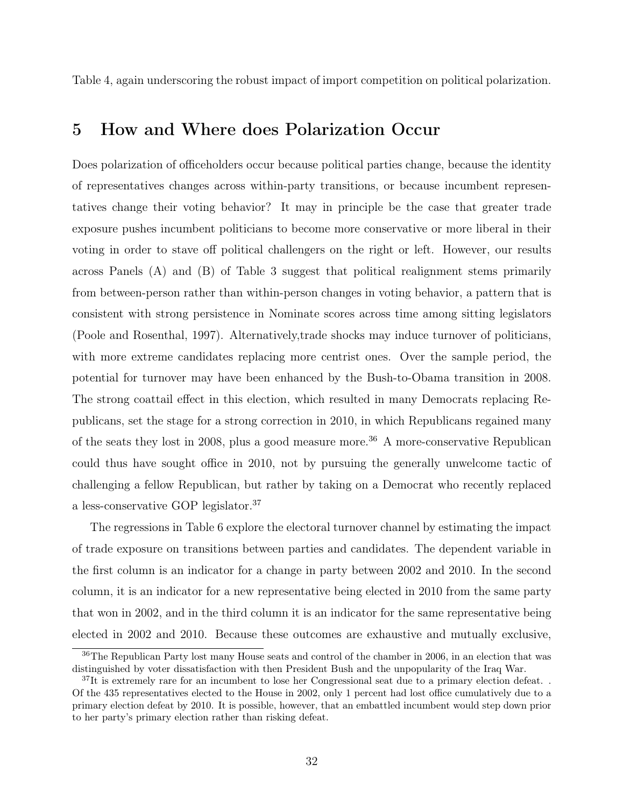Table 4, again underscoring the robust impact of import competition on political polarization.

### 5 How and Where does Polarization Occur

Does polarization of officeholders occur because political parties change, because the identity of representatives changes across within-party transitions, or because incumbent representatives change their voting behavior? It may in principle be the case that greater trade exposure pushes incumbent politicians to become more conservative or more liberal in their voting in order to stave off political challengers on the right or left. However, our results across Panels (A) and (B) of Table 3 suggest that political realignment stems primarily from between-person rather than within-person changes in voting behavior, a pattern that is consistent with strong persistence in Nominate scores across time among sitting legislators (Poole and Rosenthal, 1997). Alternatively,trade shocks may induce turnover of politicians, with more extreme candidates replacing more centrist ones. Over the sample period, the potential for turnover may have been enhanced by the Bush-to-Obama transition in 2008. The strong coattail effect in this election, which resulted in many Democrats replacing Republicans, set the stage for a strong correction in 2010, in which Republicans regained many of the seats they lost in 2008, plus a good measure more.<sup>36</sup> A more-conservative Republican could thus have sought office in 2010, not by pursuing the generally unwelcome tactic of challenging a fellow Republican, but rather by taking on a Democrat who recently replaced a less-conservative GOP legislator.<sup>37</sup>

The regressions in Table 6 explore the electoral turnover channel by estimating the impact of trade exposure on transitions between parties and candidates. The dependent variable in the first column is an indicator for a change in party between 2002 and 2010. In the second column, it is an indicator for a new representative being elected in 2010 from the same party that won in 2002, and in the third column it is an indicator for the same representative being elected in 2002 and 2010. Because these outcomes are exhaustive and mutually exclusive,

<sup>36</sup>The Republican Party lost many House seats and control of the chamber in 2006, in an election that was distinguished by voter dissatisfaction with then President Bush and the unpopularity of the Iraq War.

 $37$ It is extremely rare for an incumbent to lose her Congressional seat due to a primary election defeat.. Of the 435 representatives elected to the House in 2002, only 1 percent had lost office cumulatively due to a primary election defeat by 2010. It is possible, however, that an embattled incumbent would step down prior to her party's primary election rather than risking defeat.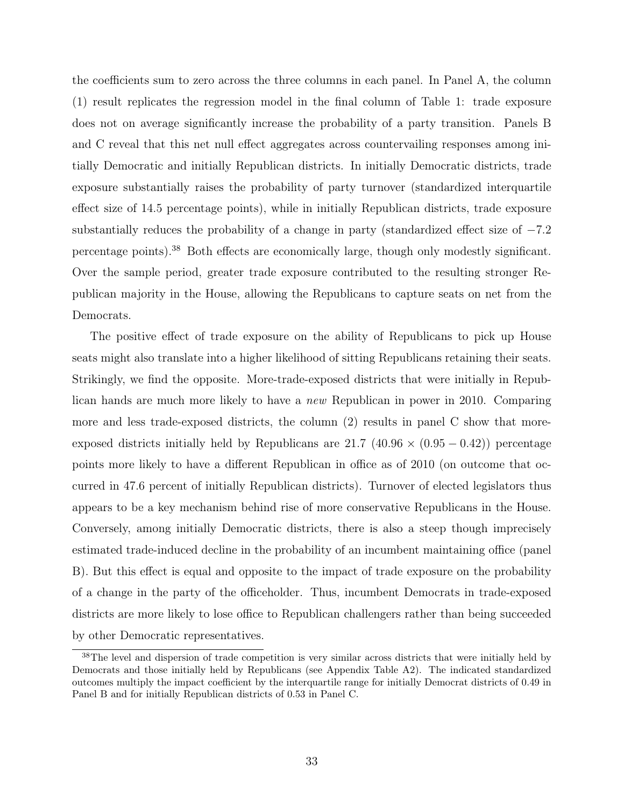the coefficients sum to zero across the three columns in each panel. In Panel A, the column (1) result replicates the regression model in the final column of Table 1: trade exposure does not on average significantly increase the probability of a party transition. Panels B and C reveal that this net null effect aggregates across countervailing responses among initially Democratic and initially Republican districts. In initially Democratic districts, trade exposure substantially raises the probability of party turnover (standardized interquartile effect size of 14.5 percentage points), while in initially Republican districts, trade exposure substantially reduces the probability of a change in party (standardized effect size of  $-7.2$ ) percentage points).<sup>38</sup> Both effects are economically large, though only modestly significant. Over the sample period, greater trade exposure contributed to the resulting stronger Republican majority in the House, allowing the Republicans to capture seats on net from the Democrats.

The positive effect of trade exposure on the ability of Republicans to pick up House seats might also translate into a higher likelihood of sitting Republicans retaining their seats. Strikingly, we find the opposite. More-trade-exposed districts that were initially in Republican hands are much more likely to have a new Republican in power in 2010. Comparing more and less trade-exposed districts, the column (2) results in panel C show that moreexposed districts initially held by Republicans are  $21.7 \ (40.96 \times (0.95 - 0.42))$  percentage points more likely to have a different Republican in office as of 2010 (on outcome that occurred in 47.6 percent of initially Republican districts). Turnover of elected legislators thus appears to be a key mechanism behind rise of more conservative Republicans in the House. Conversely, among initially Democratic districts, there is also a steep though imprecisely estimated trade-induced decline in the probability of an incumbent maintaining office (panel B). But this effect is equal and opposite to the impact of trade exposure on the probability of a change in the party of the officeholder. Thus, incumbent Democrats in trade-exposed districts are more likely to lose office to Republican challengers rather than being succeeded by other Democratic representatives.

<sup>38</sup>The level and dispersion of trade competition is very similar across districts that were initially held by Democrats and those initially held by Republicans (see Appendix Table A2). The indicated standardized outcomes multiply the impact coefficient by the interquartile range for initially Democrat districts of 0.49 in Panel B and for initially Republican districts of 0.53 in Panel C.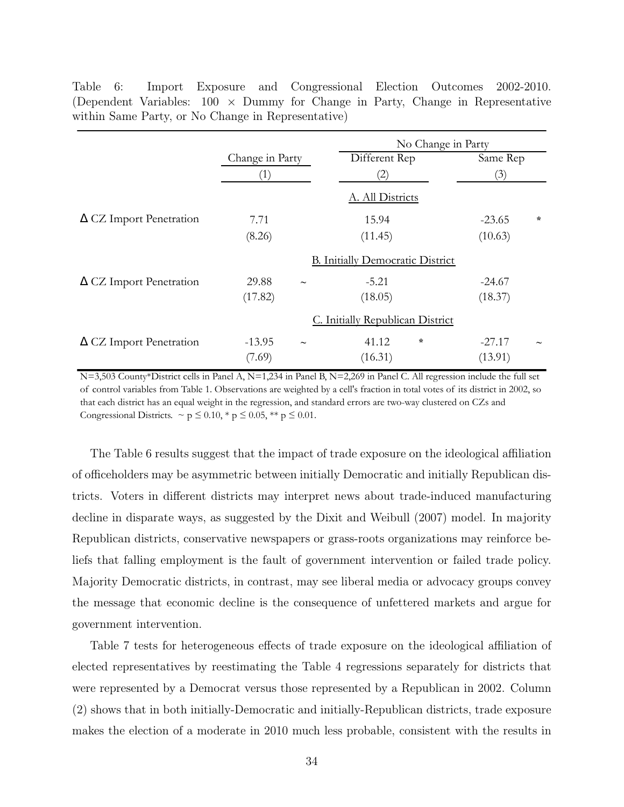|                                |                   |                           | No Change in Party                      |         |          |         |  |  |
|--------------------------------|-------------------|---------------------------|-----------------------------------------|---------|----------|---------|--|--|
|                                | Change in Party   |                           | Different Rep                           |         | Same Rep |         |  |  |
|                                | $\left( 1\right)$ |                           | (2)                                     |         | (3)      |         |  |  |
|                                |                   |                           | A. All Districts                        |         |          |         |  |  |
| $\Delta$ CZ Import Penetration | 7.71              |                           | 15.94                                   |         | $-23.65$ | $\star$ |  |  |
|                                | (8.26)            |                           | (11.45)                                 |         | (10.63)  |         |  |  |
|                                |                   |                           | <b>B.</b> Initially Democratic District |         |          |         |  |  |
| $\Delta$ CZ Import Penetration | 29.88             | $\tilde{\phantom{m}}$     | $-5.21$                                 |         | $-24.67$ |         |  |  |
|                                | (17.82)           |                           | (18.05)                                 |         | (18.37)  |         |  |  |
|                                |                   |                           | C. Initially Republican District        |         |          |         |  |  |
| $\Delta$ CZ Import Penetration | $-13.95$          | $\widetilde{\phantom{m}}$ | 41.12                                   | $\star$ | $-27.17$ |         |  |  |
|                                | (7.69)            |                           | (16.31)                                 |         | (13.91)  |         |  |  |

Table 6: Import Exposure and Congressional Election Outcomes 2002-2010. (Dependent Variables:  $100 \times$  Dummy for Change in Party, Change in Representative within Same Party, or No Change in Representative)

N=3,503 County\*District cells in Panel A, N=1,234 in Panel B, N=2,269 in Panel C. All regression include the full set of control variables from Table 1. Observations are weighted by a cell's fraction in total votes of its district in 2002, so that each district has an equal weight in the regression, and standard errors are two-way clustered on CZs and Congressional Districts.  $\sim p \leq 0.10$ , \*  $p \leq 0.05$ , \*\*  $p \leq 0.01$ .

The Table 6 results suggest that the impact of trade exposure on the ideological affiliation of officeholders may be asymmetric between initially Democratic and initially Republican districts. Voters in different districts may interpret news about trade-induced manufacturing decline in disparate ways, as suggested by the Dixit and Weibull (2007) model. In majority Republican districts, conservative newspapers or grass-roots organizations may reinforce beliefs that falling employment is the fault of government intervention or failed trade policy. Majority Democratic districts, in contrast, may see liberal media or advocacy groups convey the message that economic decline is the consequence of unfettered markets and argue for government intervention.

Table 7 tests for heterogeneous effects of trade exposure on the ideological affiliation of elected representatives by reestimating the Table 4 regressions separately for districts that were represented by a Democrat versus those represented by a Republican in 2002. Column (2) shows that in both initially-Democratic and initially-Republican districts, trade exposure makes the election of a moderate in 2010 much less probable, consistent with the results in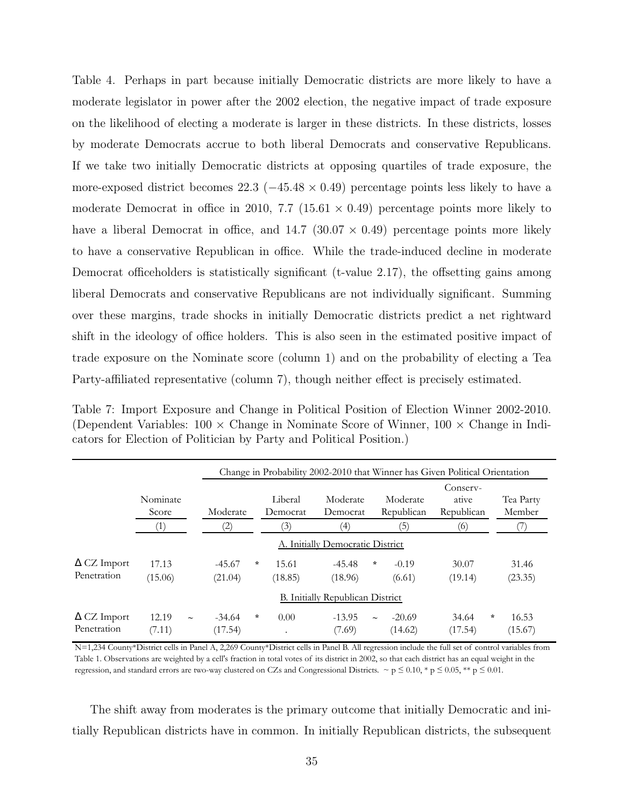Table 4. Perhaps in part because initially Democratic districts are more likely to have a moderate legislator in power after the 2002 election, the negative impact of trade exposure on the likelihood of electing a moderate is larger in these districts. In these districts, losses by moderate Democrats accrue to both liberal Democrats and conservative Republicans. If we take two initially Democratic districts at opposing quartiles of trade exposure, the more-exposed district becomes 22.3 ( $-45.48 \times 0.49$ ) percentage points less likely to have a moderate Democrat in office in 2010, 7.7 (15.61  $\times$  0.49) percentage points more likely to have a liberal Democrat in office, and  $14.7$  (30.07  $\times$  0.49) percentage points more likely to have a conservative Republican in office. While the trade-induced decline in moderate Democrat officeholders is statistically significant (t-value 2.17), the offsetting gains among liberal Democrats and conservative Republicans are not individually significant. Summing over these margins, trade shocks in initially Democratic districts predict a net rightward shift in the ideology of office holders. This is also seen in the estimated positive impact of trade exposure on the Nominate score (column 1) and on the probability of electing a Tea Party-affiliated representative (column 7), though neither effect is precisely estimated.

Table 7: Import Exposure and Change in Political Position of Election Winner 2002-2010. (Dependent Variables:  $100 \times$  Change in Nominate Score of Winner,  $100 \times$  Change in Indicators for Election of Politician by Party and Political Position.)

|                                   |                   |                               |         |                     |                                  |         |                        | Change in Probability 2002-2010 that Winner has Given Political Orientation |        |                     |
|-----------------------------------|-------------------|-------------------------------|---------|---------------------|----------------------------------|---------|------------------------|-----------------------------------------------------------------------------|--------|---------------------|
|                                   | Nominate<br>Score | Moderate                      |         | Liberal<br>Democrat | Moderate<br>Democrat             |         | Moderate<br>Republican | Conserv-<br>ative<br>Republican                                             |        | Tea Party<br>Member |
|                                   | [1]               | $\left( 2\right)$             |         | (3)                 | (4)                              |         | (5)                    | (6)                                                                         |        |                     |
|                                   |                   |                               |         |                     | A. Initially Democratic District |         |                        |                                                                             |        |                     |
| $\Delta$ CZ Import                | 17.13             | $-45.67$                      | $\star$ | 15.61               | $-45.48$                         | $\star$ | $-0.19$                | 30.07                                                                       |        | 31.46               |
| Penetration                       | (15.06)           | (21.04)                       |         | (18.85)             | (18.96)                          |         | (6.61)                 | (19.14)                                                                     |        | (23.35)             |
|                                   |                   |                               |         |                     | B. Initially Republican District |         |                        |                                                                             |        |                     |
| $\Delta$ CZ Import<br>Penetration | 12.19<br>(7.11)   | $-34.64$<br>$\sim$<br>(17.54) | $\star$ | 0.00<br>$\bullet$   | $-13.95$<br>(7.69)               | $\sim$  | $-20.69$<br>(14.62)    | 34.64<br>(17.54)                                                            | $\ast$ | 16.53<br>(15.67)    |

N=1,234 County\*District cells in Panel A, 2,269 County\*District cells in Panel B. All regression include the full set of control variables from Table 1. Observations are weighted by a cell's fraction in total votes of its district in 2002, so that each district has an equal weight in the regression, and standard errors are two-way clustered on CZs and Congressional Districts.  $\sim p \le 0.10$ , \*  $p \le 0.05$ , \*\*  $p \le 0.01$ .

The shift away from moderates is the primary outcome that initially Democratic and initially Republican districts have in common. In initially Republican districts, the subsequent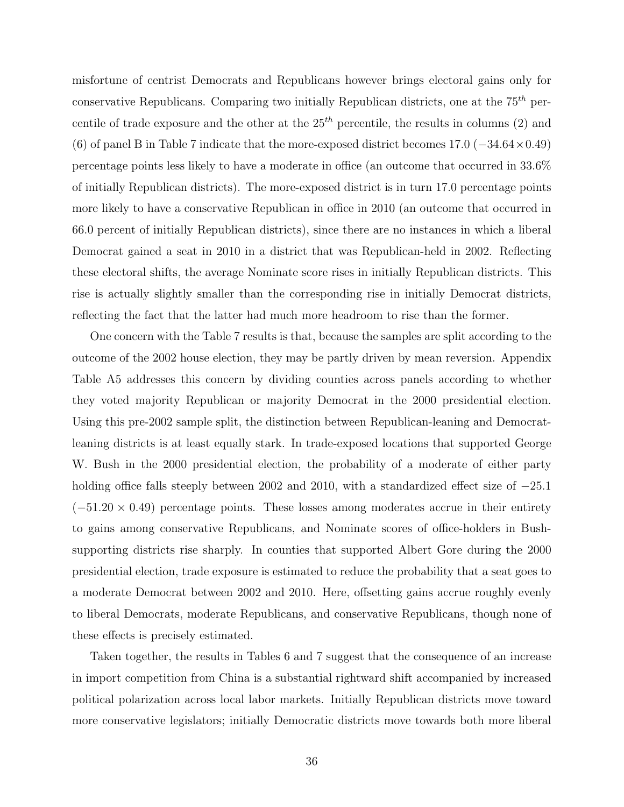misfortune of centrist Democrats and Republicans however brings electoral gains only for conservative Republicans. Comparing two initially Republican districts, one at the  $75<sup>th</sup>$  percentile of trade exposure and the other at the  $25<sup>th</sup>$  percentile, the results in columns (2) and (6) of panel B in Table 7 indicate that the more-exposed district becomes 17.0 (−34.64×0.49) percentage points less likely to have a moderate in office (an outcome that occurred in 33.6% of initially Republican districts). The more-exposed district is in turn 17.0 percentage points more likely to have a conservative Republican in office in 2010 (an outcome that occurred in 66.0 percent of initially Republican districts), since there are no instances in which a liberal Democrat gained a seat in 2010 in a district that was Republican-held in 2002. Reflecting these electoral shifts, the average Nominate score rises in initially Republican districts. This rise is actually slightly smaller than the corresponding rise in initially Democrat districts, reflecting the fact that the latter had much more headroom to rise than the former.

One concern with the Table 7 results is that, because the samples are split according to the outcome of the 2002 house election, they may be partly driven by mean reversion. Appendix Table A5 addresses this concern by dividing counties across panels according to whether they voted majority Republican or majority Democrat in the 2000 presidential election. Using this pre-2002 sample split, the distinction between Republican-leaning and Democratleaning districts is at least equally stark. In trade-exposed locations that supported George W. Bush in the 2000 presidential election, the probability of a moderate of either party holding office falls steeply between 2002 and 2010, with a standardized effect size of −25.1  $(-51.20 \times 0.49)$  percentage points. These losses among moderates accrue in their entirety to gains among conservative Republicans, and Nominate scores of office-holders in Bushsupporting districts rise sharply. In counties that supported Albert Gore during the 2000 presidential election, trade exposure is estimated to reduce the probability that a seat goes to a moderate Democrat between 2002 and 2010. Here, offsetting gains accrue roughly evenly to liberal Democrats, moderate Republicans, and conservative Republicans, though none of these effects is precisely estimated.

Taken together, the results in Tables 6 and 7 suggest that the consequence of an increase in import competition from China is a substantial rightward shift accompanied by increased political polarization across local labor markets. Initially Republican districts move toward more conservative legislators; initially Democratic districts move towards both more liberal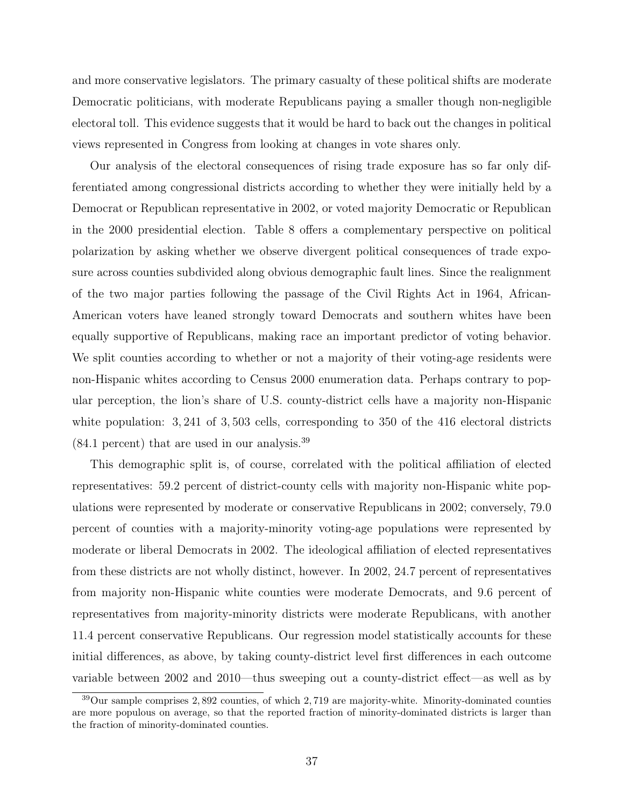and more conservative legislators. The primary casualty of these political shifts are moderate Democratic politicians, with moderate Republicans paying a smaller though non-negligible electoral toll. This evidence suggests that it would be hard to back out the changes in political views represented in Congress from looking at changes in vote shares only.

Our analysis of the electoral consequences of rising trade exposure has so far only differentiated among congressional districts according to whether they were initially held by a Democrat or Republican representative in 2002, or voted majority Democratic or Republican in the 2000 presidential election. Table 8 offers a complementary perspective on political polarization by asking whether we observe divergent political consequences of trade exposure across counties subdivided along obvious demographic fault lines. Since the realignment of the two major parties following the passage of the Civil Rights Act in 1964, African-American voters have leaned strongly toward Democrats and southern whites have been equally supportive of Republicans, making race an important predictor of voting behavior. We split counties according to whether or not a majority of their voting-age residents were non-Hispanic whites according to Census 2000 enumeration data. Perhaps contrary to popular perception, the lion's share of U.S. county-district cells have a majority non-Hispanic white population:  $3, 241$  of  $3, 503$  cells, corresponding to  $350$  of the 416 electoral districts (84.1 percent) that are used in our analysis.<sup>39</sup>

This demographic split is, of course, correlated with the political affiliation of elected representatives: 59.2 percent of district-county cells with majority non-Hispanic white populations were represented by moderate or conservative Republicans in 2002; conversely, 79.0 percent of counties with a majority-minority voting-age populations were represented by moderate or liberal Democrats in 2002. The ideological affiliation of elected representatives from these districts are not wholly distinct, however. In 2002, 24.7 percent of representatives from majority non-Hispanic white counties were moderate Democrats, and 9.6 percent of representatives from majority-minority districts were moderate Republicans, with another 11.4 percent conservative Republicans. Our regression model statistically accounts for these initial differences, as above, by taking county-district level first differences in each outcome variable between 2002 and 2010—thus sweeping out a county-district effect—as well as by

 $39$ Our sample comprises 2,892 counties, of which 2,719 are majority-white. Minority-dominated counties are more populous on average, so that the reported fraction of minority-dominated districts is larger than the fraction of minority-dominated counties.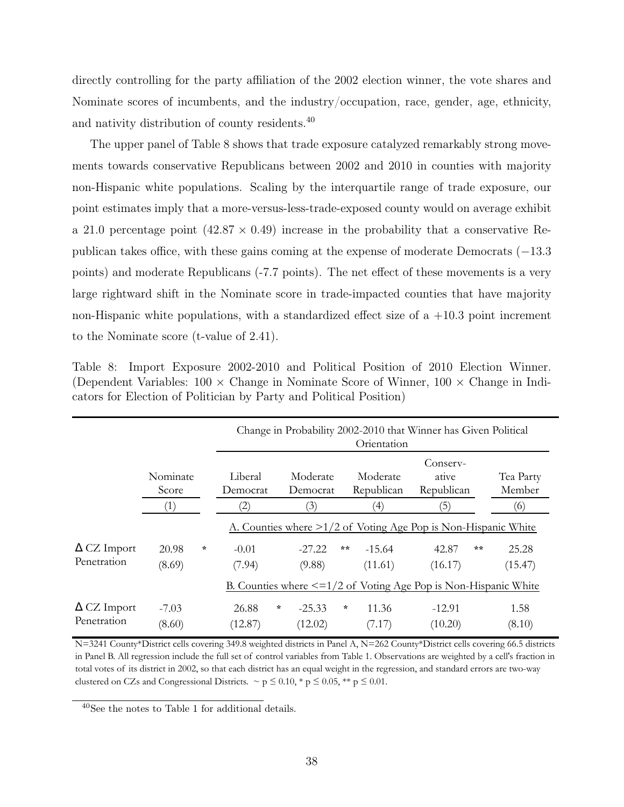directly controlling for the party affiliation of the 2002 election winner, the vote shares and Nominate scores of incumbents, and the industry/occupation, race, gender, age, ethnicity, and nativity distribution of county residents.<sup>40</sup>

The upper panel of Table 8 shows that trade exposure catalyzed remarkably strong movements towards conservative Republicans between 2002 and 2010 in counties with majority non-Hispanic white populations. Scaling by the interquartile range of trade exposure, our point estimates imply that a more-versus-less-trade-exposed county would on average exhibit a 21.0 percentage point  $(42.87 \times 0.49)$  increase in the probability that a conservative Republican takes office, with these gains coming at the expense of moderate Democrats (−13.3 points) and moderate Republicans (-7.7 points). The net effect of these movements is a very large rightward shift in the Nominate score in trade-impacted counties that have majority non-Hispanic white populations, with a standardized effect size of a  $+10.3$  point increment to the Nominate score (t-value of 2.41).

|                    |                  |         |                   |         |          |        | Orientation       | Change in Probability 2002-2010 that Winner has Given Political      |       |           |
|--------------------|------------------|---------|-------------------|---------|----------|--------|-------------------|----------------------------------------------------------------------|-------|-----------|
|                    |                  |         |                   |         |          |        |                   | Conserv-                                                             |       |           |
|                    | Nominate         |         | Liberal           |         | Moderate |        | Moderate          | ative                                                                |       | Tea Party |
|                    | Score            |         | Democrat          |         | Democrat |        | Republican        | Republican                                                           |       | Member    |
|                    | $\left(1\right)$ |         | $\left( 2\right)$ |         | (3)      |        | $\left( 4\right)$ | $\left(5\right)$                                                     |       | (6)       |
|                    |                  |         |                   |         |          |        |                   | A. Counties where $\geq 1/2$ of Voting Age Pop is Non-Hispanic White |       |           |
| $\Delta$ CZ Import | 20.98            | $\star$ | $-0.01$           |         | $-27.22$ | 素素     | $-15.64$          | 42.87                                                                | $***$ | 25.28     |
| Penetration        | (8.69)           |         | (7.94)            |         | (9.88)   |        | (11.61)           | (16.17)                                                              |       | (15.47)   |
|                    |                  |         |                   |         |          |        |                   | B. Counties where $\leq 1/2$ of Voting Age Pop is Non-Hispanic White |       |           |
| $\Delta$ CZ Import | $-7.03$          |         | 26.88             | $\star$ | $-25.33$ | $\ast$ | 11.36             | $-12.91$                                                             |       | 1.58      |
| Penetration        | (8.60)           |         | (12.87)           |         | (12.02)  |        | (7.17)            | (10.20)                                                              |       | (8.10)    |

Table 8: Import Exposure 2002-2010 and Political Position of 2010 Election Winner. (Dependent Variables:  $100 \times$  Change in Nominate Score of Winner,  $100 \times$  Change in Indicators for Election of Politician by Party and Political Position)

N=3241 County\*District cells covering 349.8 weighted districts in Panel A, N=262 County\*District cells covering 66.5 districts in Panel B. All regression include the full set of control variables from Table 1. Observations are weighted by a cell's fraction in total votes of its district in 2002, so that each district has an equal weight in the regression, and standard errors are two-way clustered on CZs and Congressional Districts.  $\sim p \leq 0.10, *p \leq 0.05, **p \leq 0.01$ .

<sup>40</sup>See the notes to Table 1 for additional details.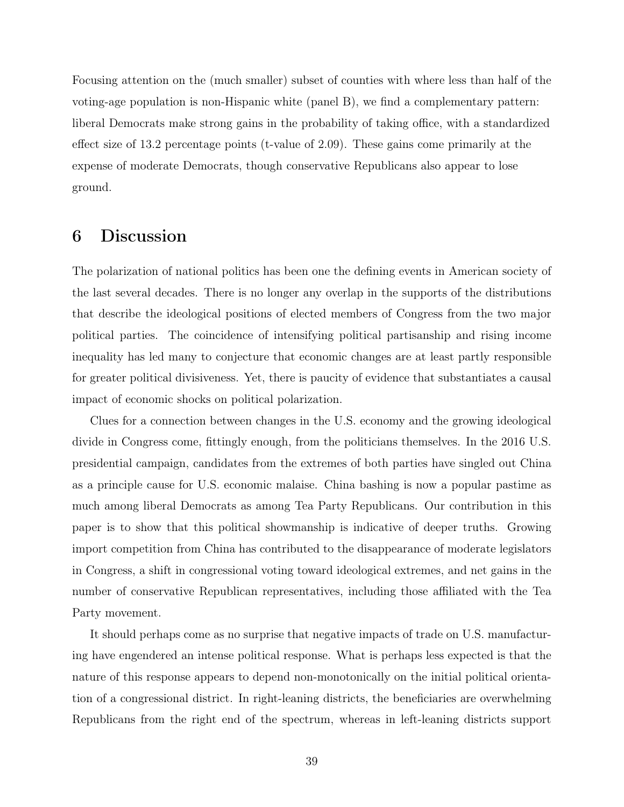Focusing attention on the (much smaller) subset of counties with where less than half of the voting-age population is non-Hispanic white (panel B), we find a complementary pattern: liberal Democrats make strong gains in the probability of taking office, with a standardized effect size of 13.2 percentage points (t-value of 2.09). These gains come primarily at the expense of moderate Democrats, though conservative Republicans also appear to lose ground.

### 6 Discussion

The polarization of national politics has been one the defining events in American society of the last several decades. There is no longer any overlap in the supports of the distributions that describe the ideological positions of elected members of Congress from the two major political parties. The coincidence of intensifying political partisanship and rising income inequality has led many to conjecture that economic changes are at least partly responsible for greater political divisiveness. Yet, there is paucity of evidence that substantiates a causal impact of economic shocks on political polarization.

Clues for a connection between changes in the U.S. economy and the growing ideological divide in Congress come, fittingly enough, from the politicians themselves. In the 2016 U.S. presidential campaign, candidates from the extremes of both parties have singled out China as a principle cause for U.S. economic malaise. China bashing is now a popular pastime as much among liberal Democrats as among Tea Party Republicans. Our contribution in this paper is to show that this political showmanship is indicative of deeper truths. Growing import competition from China has contributed to the disappearance of moderate legislators in Congress, a shift in congressional voting toward ideological extremes, and net gains in the number of conservative Republican representatives, including those affiliated with the Tea Party movement.

It should perhaps come as no surprise that negative impacts of trade on U.S. manufacturing have engendered an intense political response. What is perhaps less expected is that the nature of this response appears to depend non-monotonically on the initial political orientation of a congressional district. In right-leaning districts, the beneficiaries are overwhelming Republicans from the right end of the spectrum, whereas in left-leaning districts support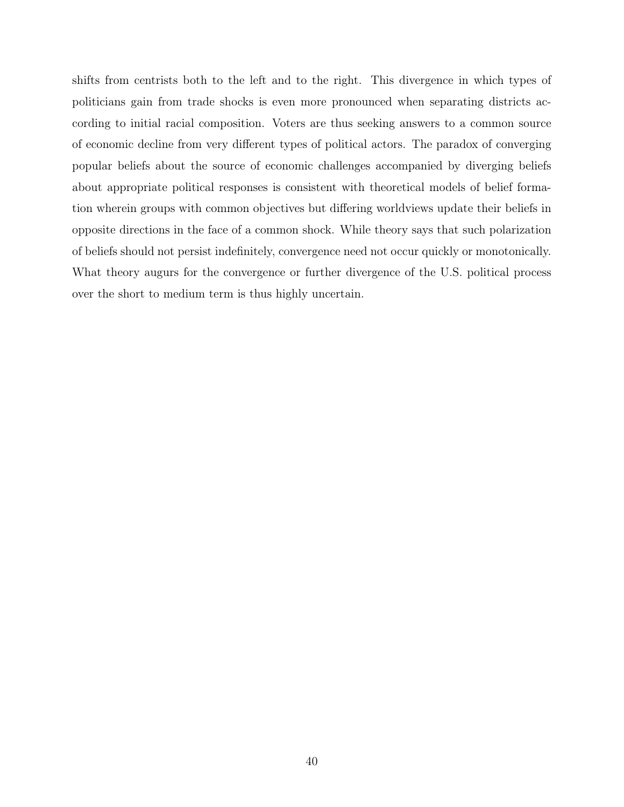shifts from centrists both to the left and to the right. This divergence in which types of politicians gain from trade shocks is even more pronounced when separating districts according to initial racial composition. Voters are thus seeking answers to a common source of economic decline from very different types of political actors. The paradox of converging popular beliefs about the source of economic challenges accompanied by diverging beliefs about appropriate political responses is consistent with theoretical models of belief formation wherein groups with common objectives but differing worldviews update their beliefs in opposite directions in the face of a common shock. While theory says that such polarization of beliefs should not persist indefinitely, convergence need not occur quickly or monotonically. What theory augurs for the convergence or further divergence of the U.S. political process over the short to medium term is thus highly uncertain.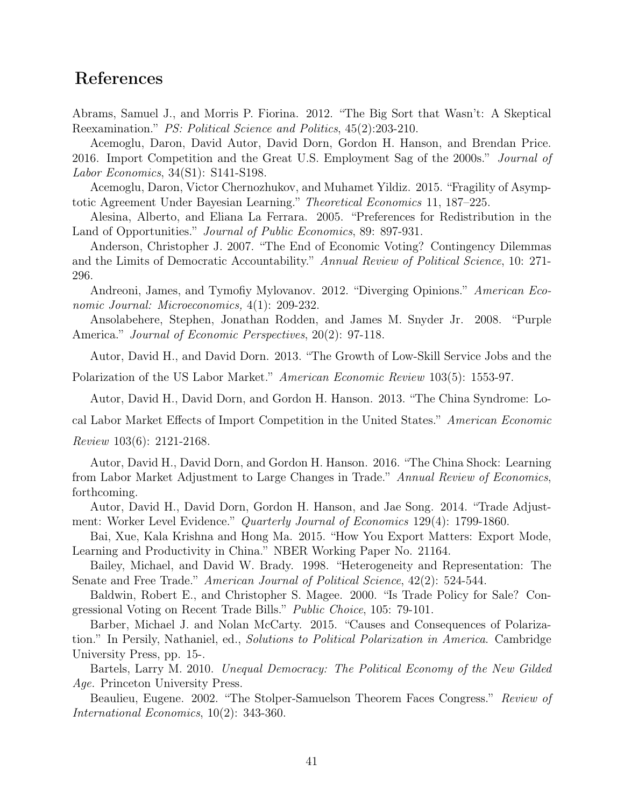### References

Abrams, Samuel J., and Morris P. Fiorina. 2012. "The Big Sort that Wasn't: A Skeptical Reexamination." PS: Political Science and Politics, 45(2):203-210.

Acemoglu, Daron, David Autor, David Dorn, Gordon H. Hanson, and Brendan Price. 2016. Import Competition and the Great U.S. Employment Sag of the 2000s." Journal of Labor Economics, 34(S1): S141-S198.

Acemoglu, Daron, Victor Chernozhukov, and Muhamet Yildiz. 2015. "Fragility of Asymptotic Agreement Under Bayesian Learning." Theoretical Economics 11, 187–225.

Alesina, Alberto, and Eliana La Ferrara. 2005. "Preferences for Redistribution in the Land of Opportunities." *Journal of Public Economics*, 89: 897-931.

Anderson, Christopher J. 2007. "The End of Economic Voting? Contingency Dilemmas and the Limits of Democratic Accountability." Annual Review of Political Science, 10: 271- 296.

Andreoni, James, and Tymofiy Mylovanov. 2012. "Diverging Opinions." American Economic Journal: Microeconomics, 4(1): 209-232.

Ansolabehere, Stephen, Jonathan Rodden, and James M. Snyder Jr. 2008. "Purple America." *Journal of Economic Perspectives*, 20(2): 97-118.

Autor, David H., and David Dorn. 2013. "The Growth of Low-Skill Service Jobs and the

Polarization of the US Labor Market." American Economic Review 103(5): 1553-97.

Autor, David H., David Dorn, and Gordon H. Hanson. 2013. "The China Syndrome: Lo-

cal Labor Market Effects of Import Competition in the United States." American Economic

Review 103(6): 2121-2168.

Autor, David H., David Dorn, and Gordon H. Hanson. 2016. "The China Shock: Learning from Labor Market Adjustment to Large Changes in Trade." Annual Review of Economics, forthcoming.

Autor, David H., David Dorn, Gordon H. Hanson, and Jae Song. 2014. "Trade Adjustment: Worker Level Evidence." Quarterly Journal of Economics 129(4): 1799-1860.

Bai, Xue, Kala Krishna and Hong Ma. 2015. "How You Export Matters: Export Mode, Learning and Productivity in China." NBER Working Paper No. 21164.

Bailey, Michael, and David W. Brady. 1998. "Heterogeneity and Representation: The Senate and Free Trade." American Journal of Political Science, 42(2): 524-544.

Baldwin, Robert E., and Christopher S. Magee. 2000. "Is Trade Policy for Sale? Congressional Voting on Recent Trade Bills." Public Choice, 105: 79-101.

Barber, Michael J. and Nolan McCarty. 2015. "Causes and Consequences of Polarization." In Persily, Nathaniel, ed., Solutions to Political Polarization in America. Cambridge University Press, pp. 15-.

Bartels, Larry M. 2010. Unequal Democracy: The Political Economy of the New Gilded Age. Princeton University Press.

Beaulieu, Eugene. 2002. "The Stolper-Samuelson Theorem Faces Congress." Review of International Economics, 10(2): 343-360.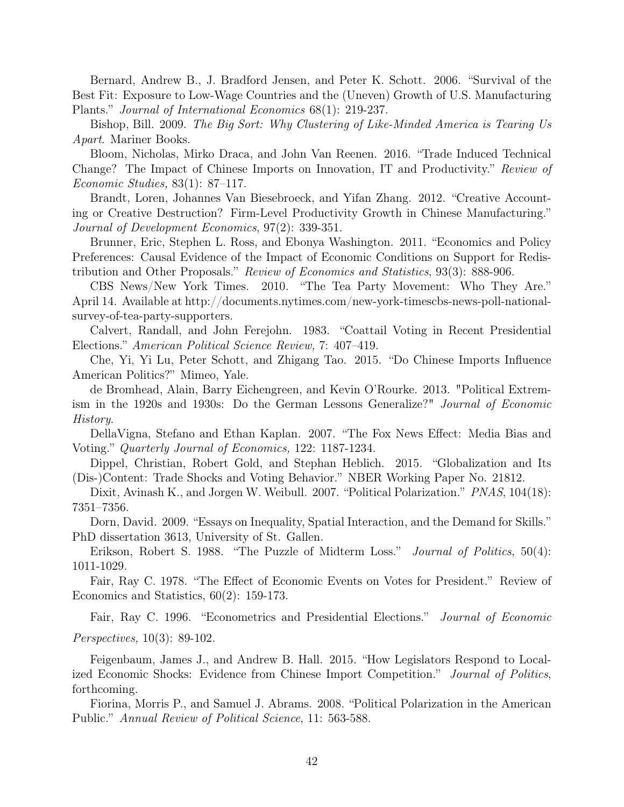Bernard, Andrew B., J. Bradford Jensen, and Peter K. Schott. 2006. "Survival of the Best Fit: Exposure to Low-Wage Countries and the (Uneven) Growth of U.S. Manufacturing Plants." Journal of International Economics 68(1): 219-237.

Bishop, Bill. 2009. The Big Sort: Why Clustering of Like-Minded America is Tearing Us Apart. Mariner Books.

Bloom, Nicholas, Mirko Draca, and John Van Reenen. 2016. "Trade Induced Technical Change? The Impact of Chinese Imports on Innovation, IT and Productivity." Review of Economic Studies, 83(1): 87–117.

Brandt, Loren, Johannes Van Biesebroeck, and Yifan Zhang. 2012. "Creative Accounting or Creative Destruction? Firm-Level Productivity Growth in Chinese Manufacturing." Journal of Development Economics, 97(2): 339-351.

Brunner, Eric, Stephen L. Ross, and Ebonya Washington. 2011. "Economics and Policy Preferences: Causal Evidence of the Impact of Economic Conditions on Support for Redistribution and Other Proposals." Review of Economics and Statistics, 93(3): 888-906.

CBS News/New York Times. 2010. "The Tea Party Movement: Who They Are." April 14. Available at http://documents.nytimes.com/new-york-timescbs-news-poll-nationalsurvey-of-tea-party-supporters.

Calvert, Randall, and John Ferejohn. 1983. "Coattail Voting in Recent Presidential Elections." American Political Science Review, 7: 407–419.

Che, Yi, Yi Lu, Peter Schott, and Zhigang Tao. 2015. "Do Chinese Imports Influence American Politics?" Mimeo, Yale.

de Bromhead, Alain, Barry Eichengreen, and Kevin O'Rourke. 2013. "Political Extremism in the 1920s and 1930s: Do the German Lessons Generalize?" Journal of Economic History.

DellaVigna, Stefano and Ethan Kaplan. 2007. "The Fox News Effect: Media Bias and Voting." Quarterly Journal of Economics, 122: 1187-1234.

Dippel, Christian, Robert Gold, and Stephan Heblich. 2015. "Globalization and Its (Dis-)Content: Trade Shocks and Voting Behavior." NBER Working Paper No. 21812.

Dixit, Avinash K., and Jorgen W. Weibull. 2007. "Political Polarization." *PNAS*, 104(18): 7351–7356.

Dorn, David. 2009. "Essays on Inequality, Spatial Interaction, and the Demand for Skills." PhD dissertation 3613, University of St. Gallen.

Erikson, Robert S. 1988. "The Puzzle of Midterm Loss." *Journal of Politics*, 50(4): 1011-1029.

Fair, Ray C. 1978. "The Effect of Economic Events on Votes for President." Review of Economics and Statistics, 60(2): 159-173.

Fair, Ray C. 1996. "Econometrics and Presidential Elections." Journal of Economic Perspectives, 10(3): 89-102.

Feigenbaum, James J., and Andrew B. Hall. 2015. "How Legislators Respond to Localized Economic Shocks: Evidence from Chinese Import Competition." Journal of Politics, forthcoming.

Fiorina, Morris P., and Samuel J. Abrams. 2008. "Political Polarization in the American Public." Annual Review of Political Science, 11: 563-588.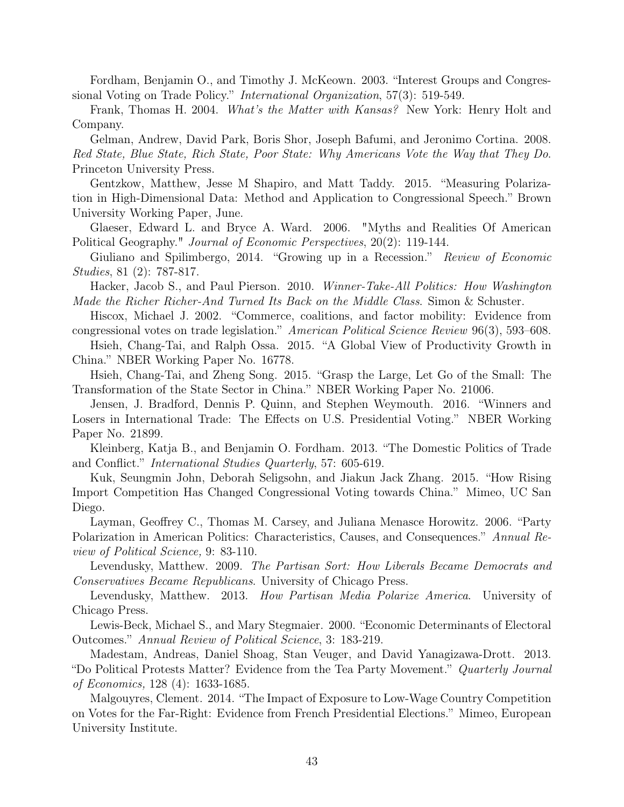Fordham, Benjamin O., and Timothy J. McKeown. 2003. "Interest Groups and Congressional Voting on Trade Policy." International Organization, 57(3): 519-549.

Frank, Thomas H. 2004. What's the Matter with Kansas? New York: Henry Holt and Company.

Gelman, Andrew, David Park, Boris Shor, Joseph Bafumi, and Jeronimo Cortina. 2008. Red State, Blue State, Rich State, Poor State: Why Americans Vote the Way that They Do. Princeton University Press.

Gentzkow, Matthew, Jesse M Shapiro, and Matt Taddy. 2015. "Measuring Polarization in High-Dimensional Data: Method and Application to Congressional Speech." Brown University Working Paper, June.

Glaeser, Edward L. and Bryce A. Ward. 2006. "Myths and Realities Of American Political Geography." Journal of Economic Perspectives, 20(2): 119-144.

Giuliano and Spilimbergo, 2014. "Growing up in a Recession." Review of Economic Studies, 81 (2): 787-817.

Hacker, Jacob S., and Paul Pierson. 2010. Winner-Take-All Politics: How Washington Made the Richer Richer-And Turned Its Back on the Middle Class. Simon & Schuster.

Hiscox, Michael J. 2002. "Commerce, coalitions, and factor mobility: Evidence from congressional votes on trade legislation." American Political Science Review 96(3), 593–608.

Hsieh, Chang-Tai, and Ralph Ossa. 2015. "A Global View of Productivity Growth in China." NBER Working Paper No. 16778.

Hsieh, Chang-Tai, and Zheng Song. 2015. "Grasp the Large, Let Go of the Small: The Transformation of the State Sector in China." NBER Working Paper No. 21006.

Jensen, J. Bradford, Dennis P. Quinn, and Stephen Weymouth. 2016. "Winners and Losers in International Trade: The Effects on U.S. Presidential Voting." NBER Working Paper No. 21899.

Kleinberg, Katja B., and Benjamin O. Fordham. 2013. "The Domestic Politics of Trade and Conflict." International Studies Quarterly, 57: 605-619.

Kuk, Seungmin John, Deborah Seligsohn, and Jiakun Jack Zhang. 2015. "How Rising Import Competition Has Changed Congressional Voting towards China." Mimeo, UC San Diego.

Layman, Geoffrey C., Thomas M. Carsey, and Juliana Menasce Horowitz. 2006. "Party Polarization in American Politics: Characteristics, Causes, and Consequences." Annual Review of Political Science, 9: 83-110.

Levendusky, Matthew. 2009. The Partisan Sort: How Liberals Became Democrats and Conservatives Became Republicans. University of Chicago Press.

Levendusky, Matthew. 2013. How Partisan Media Polarize America. University of Chicago Press.

Lewis-Beck, Michael S., and Mary Stegmaier. 2000. "Economic Determinants of Electoral Outcomes." Annual Review of Political Science, 3: 183-219.

Madestam, Andreas, Daniel Shoag, Stan Veuger, and David Yanagizawa-Drott. 2013. "Do Political Protests Matter? Evidence from the Tea Party Movement." Quarterly Journal of Economics, 128 (4): 1633-1685.

Malgouyres, Clement. 2014. "The Impact of Exposure to Low-Wage Country Competition on Votes for the Far-Right: Evidence from French Presidential Elections." Mimeo, European University Institute.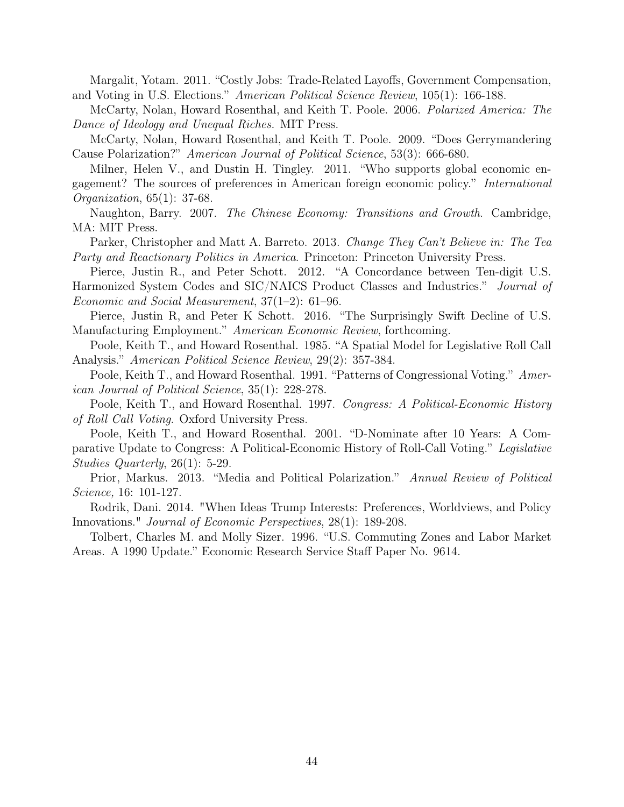Margalit, Yotam. 2011. "Costly Jobs: Trade-Related Layoffs, Government Compensation, and Voting in U.S. Elections." American Political Science Review, 105(1): 166-188.

McCarty, Nolan, Howard Rosenthal, and Keith T. Poole. 2006. Polarized America: The Dance of Ideology and Unequal Riches. MIT Press.

McCarty, Nolan, Howard Rosenthal, and Keith T. Poole. 2009. "Does Gerrymandering Cause Polarization?" American Journal of Political Science, 53(3): 666-680.

Milner, Helen V., and Dustin H. Tingley. 2011. "Who supports global economic engagement? The sources of preferences in American foreign economic policy." International Organization, 65(1): 37-68.

Naughton, Barry. 2007. The Chinese Economy: Transitions and Growth. Cambridge, MA: MIT Press.

Parker, Christopher and Matt A. Barreto. 2013. Change They Can't Believe in: The Tea Party and Reactionary Politics in America. Princeton: Princeton University Press.

Pierce, Justin R., and Peter Schott. 2012. "A Concordance between Ten-digit U.S.

Harmonized System Codes and SIC/NAICS Product Classes and Industries." Journal of Economic and Social Measurement, 37(1–2): 61–96.

Pierce, Justin R, and Peter K Schott. 2016. "The Surprisingly Swift Decline of U.S. Manufacturing Employment." American Economic Review, forthcoming.

Poole, Keith T., and Howard Rosenthal. 1985. "A Spatial Model for Legislative Roll Call Analysis." American Political Science Review, 29(2): 357-384.

Poole, Keith T., and Howard Rosenthal. 1991. "Patterns of Congressional Voting." American Journal of Political Science, 35(1): 228-278.

Poole, Keith T., and Howard Rosenthal. 1997. Congress: A Political-Economic History of Roll Call Voting. Oxford University Press.

Poole, Keith T., and Howard Rosenthal. 2001. "D-Nominate after 10 Years: A Comparative Update to Congress: A Political-Economic History of Roll-Call Voting." Legislative Studies Quarterly, 26(1): 5-29.

Prior, Markus. 2013. "Media and Political Polarization." Annual Review of Political Science, 16: 101-127.

Rodrik, Dani. 2014. "When Ideas Trump Interests: Preferences, Worldviews, and Policy Innovations." Journal of Economic Perspectives, 28(1): 189-208.

Tolbert, Charles M. and Molly Sizer. 1996. "U.S. Commuting Zones and Labor Market Areas. A 1990 Update." Economic Research Service Staff Paper No. 9614.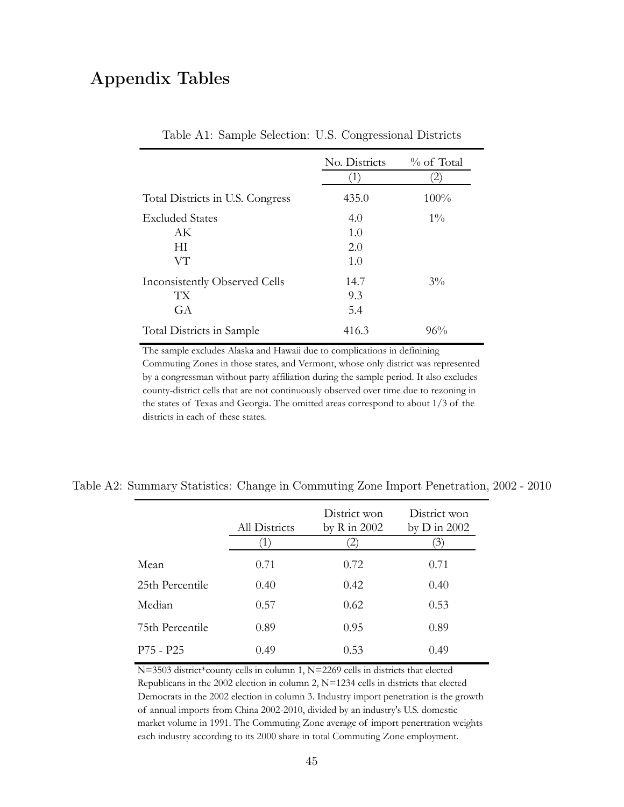### Appendix Tables

|                                  | No. Districts<br>$\left( \frac{1}{2} \right)$ | % of Total<br>2) |
|----------------------------------|-----------------------------------------------|------------------|
| Total Districts in U.S. Congress | 435.0                                         | 100%             |
| <b>Excluded States</b>           | 4.0                                           | $1\%$            |
| AK                               | 1.0                                           |                  |
| HT.                              | 2.0                                           |                  |
| VT                               | 1.0                                           |                  |
| Inconsistently Observed Cells    | 14.7                                          | $3\%$            |
| TХ                               | 9.3                                           |                  |
| GA                               | 5.4                                           |                  |
| Total Districts in Sample        | 416.3                                         | 96%              |

Table A1: Sample Selection: U.S. Congressional Districts

The sample excludes Alaska and Hawaii due to complications in definining

Commuting Zones in those states, and Vermont, whose only district was represented by a congressman without party affiliation during the sample period. It also excludes county-district cells that are not continuously observed over time due to rezoning in the states of Texas and Georgia. The omitted areas correspond to about 1/3 of the districts in each of these states.

|                 | All Districts | District won<br>by $R$ in 2002 | District won<br>by $D$ in 2002<br>3 |
|-----------------|---------------|--------------------------------|-------------------------------------|
| Mean            | 0.71          | 0.72                           | 0.71                                |
| 25th Percentile | 0.40          | 0.42                           | 0.40                                |
| Median          | 0.57          |                                | 0.53                                |
|                 |               | 0.62                           |                                     |
| 75th Percentile | 0.89          | 0.95                           | 0.89                                |
| $P75 - P25$     | 0.49          | 0.53                           | 0.49                                |

N=3503 district\*county cells in column 1, N=2269 cells in districts that elected Republicans in the 2002 election in column 2, N=1234 cells in districts that elected Democrats in the 2002 election in column 3. Industry import penetration is the growth of annual imports from China 2002-2010, divided by an industry's U.S. domestic market volume in 1991. The Commuting Zone average of import penertration weights each industry according to its 2000 share in total Commuting Zone employment.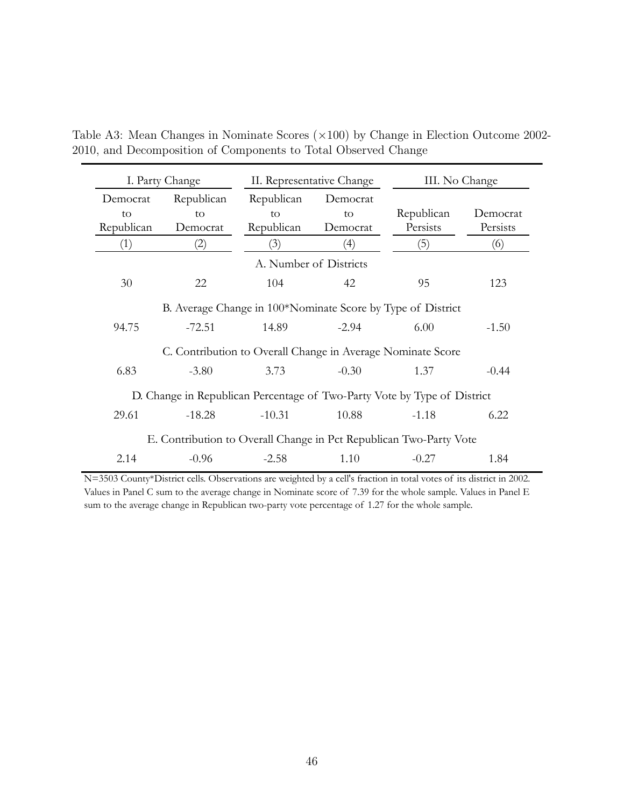| I. Party Change                                                          |            | II. Representative Change |          | III. No Change |          |  |  |  |  |
|--------------------------------------------------------------------------|------------|---------------------------|----------|----------------|----------|--|--|--|--|
| Democrat                                                                 | Republican | Republican                | Democrat |                |          |  |  |  |  |
| to                                                                       | to         | to                        | to       | Republican     | Democrat |  |  |  |  |
| Republican                                                               | Democrat   | Republican                | Democrat | Persists       | Persists |  |  |  |  |
| (1)                                                                      | (2)        | (3)                       | (4)      | (5)            | (6)      |  |  |  |  |
| A. Number of Districts                                                   |            |                           |          |                |          |  |  |  |  |
| 30                                                                       | 22         | 104                       | 42       | 95             | 123      |  |  |  |  |
| B. Average Change in 100*Nominate Score by Type of District              |            |                           |          |                |          |  |  |  |  |
| 94.75                                                                    | $-72.51$   | 14.89                     | $-2.94$  | 6.00           | $-1.50$  |  |  |  |  |
| C. Contribution to Overall Change in Average Nominate Score              |            |                           |          |                |          |  |  |  |  |
| 6.83                                                                     | $-3.80$    | 3.73                      | $-0.30$  | 1.37           | $-0.44$  |  |  |  |  |
| D. Change in Republican Percentage of Two-Party Vote by Type of District |            |                           |          |                |          |  |  |  |  |
| 29.61                                                                    | $-18.28$   | $-10.31$                  | 10.88    | $-1.18$        | 6.22     |  |  |  |  |
| E. Contribution to Overall Change in Pct Republican Two-Party Vote       |            |                           |          |                |          |  |  |  |  |
| 2.14                                                                     | $-0.96$    | $-2.58$                   | 1.10     | $-0.27$        | 1.84     |  |  |  |  |

Table A3: Mean Changes in Nominate Scores (×100) by Change in Election Outcome 2002- 2010, and Decomposition of Components to Total Observed Change

N=3503 County\*District cells. Observations are weighted by a cell's fraction in total votes of its district in 2002. Values in Panel C sum to the average change in Nominate score of 7.39 for the whole sample. Values in Panel E sum to the average change in Republican two-party vote percentage of 1.27 for the whole sample.